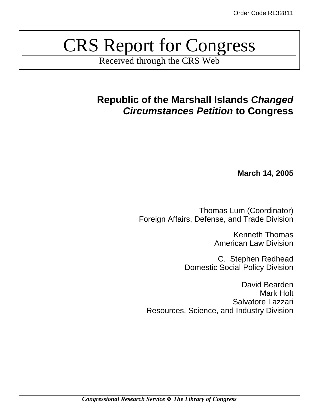# CRS Report for Congress

Received through the CRS Web

# **Republic of the Marshall Islands** *Changed Circumstances Petition* **to Congress**

**March 14, 2005**

Thomas Lum (Coordinator) Foreign Affairs, Defense, and Trade Division

> Kenneth Thomas American Law Division

C. Stephen Redhead Domestic Social Policy Division

David Bearden Mark Holt Salvatore Lazzari Resources, Science, and Industry Division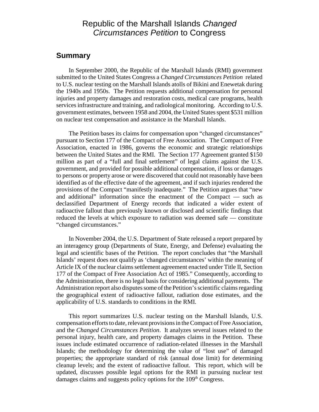# Republic of the Marshall Islands *Changed Circumstances Petition* to Congress

#### **Summary**

In September 2000, the Republic of the Marshall Islands (RMI) government submitted to the United States Congress a *Changed Circumstances Petition* related to U.S. nuclear testing on the Marshall Islands atolls of Bikini and Enewetak during the 1940s and 1950s. The Petition requests additional compensation for personal injuries and property damages and restoration costs, medical care programs, health services infrastructure and training, and radiological monitoring. According to U.S. government estimates, between 1958 and 2004, the United States spent \$531 million on nuclear test compensation and assistance in the Marshall Islands.

The Petition bases its claims for compensation upon "changed circumstances" pursuant to Section 177 of the Compact of Free Association. The Compact of Free Association, enacted in 1986, governs the economic and strategic relationships between the United States and the RMI. The Section 177 Agreement granted \$150 million as part of a "full and final settlement" of legal claims against the U.S. government, and provided for possible additional compensation, if loss or damages to persons or property arose or were discovered that could not reasonably have been identified as of the effective date of the agreement, and if such injuries rendered the provisions of the Compact "manifestly inadequate." The Petition argues that "new and additional" information since the enactment of the Compact — such as declassified Department of Energy records that indicated a wider extent of radioactive fallout than previously known or disclosed and scientific findings that reduced the levels at which exposure to radiation was deemed safe — constitute "changed circumstances."

In November 2004, the U.S. Department of State released a report prepared by an interagency group (Departments of State, Energy, and Defense) evaluating the legal and scientific bases of the Petition. The report concludes that "the Marshall Islands' request does not qualify as 'changed circumstances' within the meaning of Article IX of the nuclear claims settlement agreement enacted under Title II, Section 177 of the Compact of Free Association Act of 1985." Consequently, according to the Administration, there is no legal basis for considering additional payments. The Administration report also disputes some of the Petition's scientific claims regarding the geographical extent of radioactive fallout, radiation dose estimates, and the applicability of U.S. standards to conditions in the RMI.

This report summarizes U.S. nuclear testing on the Marshall Islands, U.S. compensation efforts to date, relevant provisions in the Compact of Free Association, and the *Changed Circumstances Petition*. It analyzes several issues related to the personal injury, health care, and property damages claims in the Petition. These issues include estimated occurrence of radiation-related illnesses in the Marshall Islands; the methodology for determining the value of "lost use" of damaged properties; the appropriate standard of risk (annual dose limit) for determining cleanup levels; and the extent of radioactive fallout. This report, which will be updated, discusses possible legal options for the RMI in pursuing nuclear test damages claims and suggests policy options for the 109<sup>th</sup> Congress.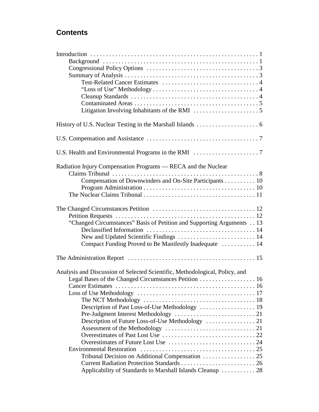# **Contents**

| Radiation Injury Compensation Programs — RECA and the Nuclear               |
|-----------------------------------------------------------------------------|
|                                                                             |
| Compensation of Downwinders and On-Site Participants 10                     |
|                                                                             |
|                                                                             |
|                                                                             |
|                                                                             |
| "Changed Circumstances" Basis of Petition and Supporting Arguments 13       |
|                                                                             |
| New and Updated Scientific Findings  14                                     |
| Compact Funding Proved to Be Manifestly Inadequate  14                      |
|                                                                             |
| Analysis and Discussion of Selected Scientific, Methodological, Policy, and |
|                                                                             |
|                                                                             |
|                                                                             |
|                                                                             |
|                                                                             |
|                                                                             |
|                                                                             |
|                                                                             |
|                                                                             |
|                                                                             |
|                                                                             |
|                                                                             |
| Applicability of Standards to Marshall Islands Cleanup  28                  |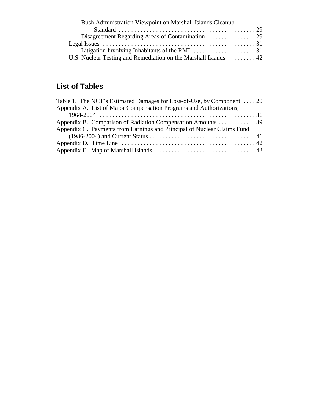| Bush Administration Viewpoint on Marshall Islands Cleanup        |  |
|------------------------------------------------------------------|--|
|                                                                  |  |
|                                                                  |  |
|                                                                  |  |
|                                                                  |  |
| U.S. Nuclear Testing and Remediation on the Marshall Islands  42 |  |
|                                                                  |  |

# **List of Tables**

| Table 1. The NCT's Estimated Damages for Loss-of-Use, by Component  20  |  |
|-------------------------------------------------------------------------|--|
| Appendix A. List of Major Compensation Programs and Authorizations,     |  |
|                                                                         |  |
| Appendix B. Comparison of Radiation Compensation Amounts 39             |  |
| Appendix C. Payments from Earnings and Principal of Nuclear Claims Fund |  |
|                                                                         |  |
|                                                                         |  |
|                                                                         |  |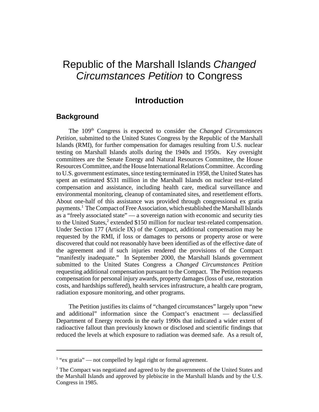# Republic of the Marshall Islands *Changed Circumstances Petition* to Congress

# **Introduction**

#### **Background**

The 109th Congress is expected to consider the *Changed Circumstances Petition*, submitted to the United States Congress by the Republic of the Marshall Islands (RMI), for further compensation for damages resulting from U.S. nuclear testing on Marshall Islands atolls during the 1940s and 1950s. Key oversight committees are the Senate Energy and Natural Resources Committee, the House Resources Committee, and the House International Relations Committee. According to U.S. government estimates, since testing terminated in 1958, the United States has spent an estimated \$531 million in the Marshall Islands on nuclear test-related compensation and assistance, including health care, medical surveillance and environmental monitoring, cleanup of contaminated sites, and resettlement efforts. About one-half of this assistance was provided through congressional ex gratia payments.<sup>1</sup> The Compact of Free Association, which established the Marshall Islands as a "freely associated state" — a sovereign nation with economic and security ties to the United States,<sup>2</sup> extended \$150 million for nuclear test-related compensation. Under Section 177 (Article IX) of the Compact, additional compensation may be requested by the RMI, if loss or damages to persons or property arose or were discovered that could not reasonably have been identified as of the effective date of the agreement and if such injuries rendered the provisions of the Compact "manifestly inadequate." In September 2000, the Marshall Islands government submitted to the United States Congress a *Changed Circumstances Petition* requesting additional compensation pursuant to the Compact. The Petition requests compensation for personal injury awards, property damages (loss of use, restoration costs, and hardships suffered), health services infrastructure, a health care program, radiation exposure monitoring, and other programs.

The Petition justifies its claims of "changed circumstances" largely upon "new and additional" information since the Compact's enactment — declassified Department of Energy records in the early 1990s that indicated a wider extent of radioactive fallout than previously known or disclosed and scientific findings that reduced the levels at which exposure to radiation was deemed safe. As a result of,

<sup>&</sup>lt;sup>1</sup> "ex gratia" — not compelled by legal right or formal agreement.

<sup>&</sup>lt;sup>2</sup> The Compact was negotiated and agreed to by the governments of the United States and the Marshall Islands and approved by plebiscite in the Marshall Islands and by the U.S. Congress in 1985.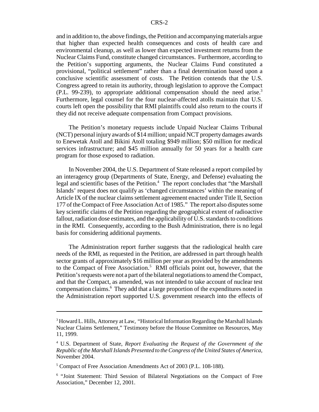and in addition to, the above findings, the Petition and accompanying materials argue that higher than expected health consequences and costs of health care and environmental cleanup, as well as lower than expected investment returns from the Nuclear Claims Fund, constitute changed circumstances. Furthermore, according to the Petition's supporting arguments, the Nuclear Claims Fund constituted a provisional, "political settlement" rather than a final determination based upon a conclusive scientific assessment of costs. The Petition contends that the U.S. Congress agreed to retain its authority, through legislation to approve the Compact (P.L. 99-239), to appropriate additional compensation should the need arise.<sup>3</sup> Furthermore, legal counsel for the four nuclear-affected atolls maintain that U.S. courts left open the possibility that RMI plaintiffs could also return to the courts if they did not receive adequate compensation from Compact provisions.

The Petition's monetary requests include Unpaid Nuclear Claims Tribunal (NCT) personal injury awards of \$14 million; unpaid NCT property damages awards to Enewetak Atoll and Bikini Atoll totaling \$949 million; \$50 million for medical services infrastructure; and \$45 million annually for 50 years for a health care program for those exposed to radiation.

In November 2004, the U.S. Department of State released a report compiled by an interagency group (Departments of State, Energy, and Defense) evaluating the legal and scientific bases of the Petition.<sup>4</sup> The report concludes that "the Marshall Islands' request does not qualify as 'changed circumstances' within the meaning of Article IX of the nuclear claims settlement agreement enacted under Title II, Section 177 of the Compact of Free Association Act of 1985." The report also disputes some key scientific claims of the Petition regarding the geographical extent of radioactive fallout, radiation dose estimates, and the applicability of U.S. standards to conditions in the RMI. Consequently, according to the Bush Administration, there is no legal basis for considering additional payments.

The Administration report further suggests that the radiological health care needs of the RMI, as requested in the Petition, are addressed in part through health sector grants of approximately \$16 million per year as provided by the amendments to the Compact of Free Association.<sup>5</sup> RMI officials point out, however, that the Petition's requests were not a part of the bilateral negotiations to amend the Compact, and that the Compact, as amended, was not intended to take account of nuclear test compensation claims.<sup>6</sup> They add that a large proportion of the expenditures noted in the Administration report supported U.S. government research into the effects of

<sup>&</sup>lt;sup>3</sup> Howard L. Hills, Attorney at Law, "Historical Information Regarding the Marshall Islands Nuclear Claims Settlement," Testimony before the House Committee on Resources, May 11, 1999.

<sup>4</sup> U.S. Department of State, *Report Evaluating the Request of the Government of the Republic of the Marshall Islands Presented to the Congress of the United States of America*, November 2004.

<sup>&</sup>lt;sup>5</sup> Compact of Free Association Amendments Act of 2003 (P.L. 108-188).

<sup>&</sup>lt;sup>6</sup> "Joint Statement: Third Session of Bilateral Negotiations on the Compact of Free Association," December 12, 2001.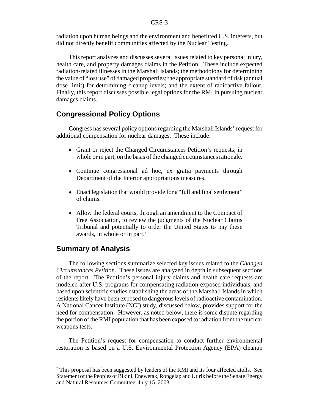radiation upon human beings and the environment and benefitted U.S. interests, but did not directly benefit communities affected by the Nuclear Testing.

This report analyzes and discusses several issues related to key personal injury, health care, and property damages claims in the Petition. These include expected radiation-related illnesses in the Marshall Islands; the methodology for determining the value of "lost use" of damaged properties; the appropriate standard of risk (annual dose limit) for determining cleanup levels; and the extent of radioactive fallout. Finally, this report discusses possible legal options for the RMI in pursuing nuclear damages claims.

#### **Congressional Policy Options**

Congress has several policy options regarding the Marshall Islands' request for additional compensation for nuclear damages. These include:

- Grant or reject the Changed Circumstances Petition's requests, in whole or in part, on the basis of the changed circumstances rationale.
- Continue congressional ad hoc, ex gratia payments through Department of the Interior appropriations measures.
- Enact legislation that would provide for a "full and final settlement" of claims.
- Allow the federal courts, through an amendment to the Compact of Free Association, to review the judgments of the Nuclear Claims Tribunal and potentially to order the United States to pay these awards, in whole or in part.<sup>7</sup>

#### **Summary of Analysis**

The following sections summarize selected key issues related to the *Changed Circumstances Petition*. These issues are analyzed in depth in subsequent sections of the report. The Petition's personal injury claims and health care requests are modeled after U.S. programs for compensating radiation-exposed individuals, and based upon scientific studies establishing the areas of the Marshall Islands in which residents likely have been exposed to dangerous levels of radioactive contamination. A National Cancer Institute (NCI) study, discussed below, provides support for the need for compensation. However, as noted below, there is some dispute regarding the portion of the RMI population that has been exposed to radiation from the nuclear weapons tests.

The Petition's request for compensation to conduct further environmental restoration is based on a U.S. Environmental Protection Agency (EPA) cleanup

 $7$  This proposal has been suggested by leaders of the RMI and its four affected atolls. See Statement of the Peoples of Bikini, Enewetak, Rongelap and Utirik before the Senate Energy and Natural Resources Committee, July 15, 2003.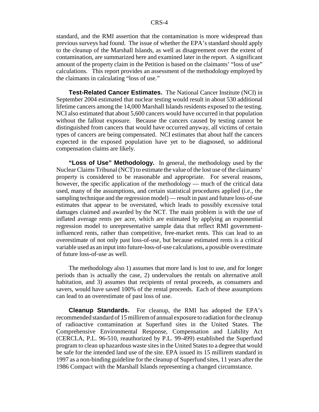standard, and the RMI assertion that the contamination is more widespread than previous surveys had found. The issue of whether the EPA's standard should apply to the cleanup of the Marshall Islands, as well as disagreement over the extent of contamination, are summarized here and examined later in the report. A significant amount of the property claim in the Petition is based on the claimants' "loss of use" calculations. This report provides an assessment of the methodology employed by the claimants in calculating "loss of use."

**Test-Related Cancer Estimates.** The National Cancer Institute (NCI) in September 2004 estimated that nuclear testing would result in about 530 additional lifetime cancers among the 14,000 Marshall Islands residents exposed to the testing. NCI also estimated that about 5,600 cancers would have occurred in that population without the fallout exposure. Because the cancers caused by testing cannot be distinguished from cancers that would have occurred anyway, all victims of certain types of cancers are being compensated. NCI estimates that about half the cancers expected in the exposed population have yet to be diagnosed, so additional compensation claims are likely.

**"Loss of Use" Methodology.** In general, the methodology used by the Nuclear Claims Tribunal (NCT) to estimate the value of the lost use of the claimants' property is considered to be reasonable and appropriate. For several reasons, however, the specific application of the methodology — much of the critical data used, many of the assumptions, and certain statistical procedures applied (i.e., the sampling technique and the regression model) — result in past and future loss-of-use estimates that appear to be overstated, which leads to possibly excessive total damages claimed and awarded by the NCT. The main problem is with the use of inflated average rents per acre, which are estimated by applying an exponential regression model to unrepresentative sample data that reflect RMI governmentinfluenced rents, rather than competitive, free-market rents. This can lead to an overestimate of not only past loss-of-use, but because estimated rents is a critical variable used as an input into future-loss-of-use calculations, a possible overestimate of future loss-of-use as well.

The methodology also 1) assumes that more land is lost to use, and for longer periods than is actually the case, 2) undervalues the rentals on alternative atoll habitation, and 3) assumes that recipients of rental proceeds, as consumers and savers, would have saved 100% of the rental proceeds. Each of these assumptions can lead to an overestimate of past loss of use.

**Cleanup Standards.** For cleanup, the RMI has adopted the EPA's recommended standard of 15 millirem of annual exposure to radiation for the cleanup of radioactive contamination at Superfund sites in the United States. The Comprehensive Environmental Response, Compensation and Liability Act (CERCLA, P.L. 96-510, reauthorized by P.L. 99-499) established the Superfund program to clean up hazardous waste sites in the United States to a degree that would be safe for the intended land use of the site. EPA issued its 15 millirem standard in 1997 as a non-binding guideline for the cleanup of Superfund sites, 11 years after the 1986 Compact with the Marshall Islands representing a changed circumstance.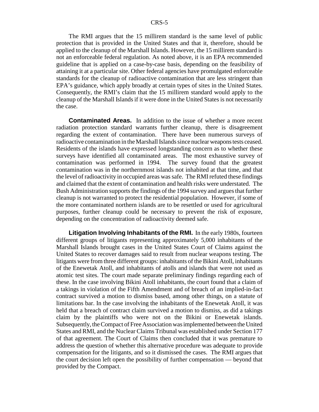The RMI argues that the 15 millirem standard is the same level of public protection that is provided in the United States and that it, therefore, should be applied to the cleanup of the Marshall Islands. However, the 15 millirem standard is not an enforceable federal regulation. As noted above, it is an EPA recommended guideline that is applied on a case-by-case basis, depending on the feasibility of attaining it at a particular site. Other federal agencies have promulgated enforceable standards for the cleanup of radioactive contamination that are less stringent than EPA's guidance, which apply broadly at certain types of sites in the United States. Consequently, the RMI's claim that the 15 millirem standard would apply to the cleanup of the Marshall Islands if it were done in the United States is not necessarily the case.

**Contaminated Areas.** In addition to the issue of whether a more recent radiation protection standard warrants further cleanup, there is disagreement regarding the extent of contamination. There have been numerous surveys of radioactive contamination in the Marshall Islands since nuclear weapons tests ceased. Residents of the islands have expressed longstanding concern as to whether these surveys have identified all contaminated areas. The most exhaustive survey of contamination was performed in 1994. The survey found that the greatest contamination was in the northernmost islands not inhabited at that time, and that the level of radioactivity in occupied areas was safe. The RMI refuted these findings and claimed that the extent of contamination and health risks were understated. The Bush Administration supports the findings of the 1994 survey and argues that further cleanup is not warranted to protect the residential population. However, if some of the more contaminated northern islands are to be resettled or used for agricultural purposes, further cleanup could be necessary to prevent the risk of exposure, depending on the concentration of radioactivity deemed safe.

**Litigation Involving Inhabitants of the RMI.** In the early 1980s, fourteen different groups of litigants representing approximately 5,000 inhabitants of the Marshall Islands brought cases in the United States Court of Claims against the United States to recover damages said to result from nuclear weapons testing. The litigants were from three different groups: inhabitants of the Bikini Atoll, inhabitants of the Enewetak Atoll, and inhabitants of atolls and islands that were not used as atomic test sites. The court made separate preliminary findings regarding each of these. In the case involving Bikini Atoll inhabitants, the court found that a claim of a takings in violation of the Fifth Amendment and of breach of an implied-in-fact contract survived a motion to dismiss based, among other things, on a statute of limitations bar. In the case involving the inhabitants of the Enewetak Atoll, it was held that a breach of contract claim survived a motion to dismiss, as did a takings claim by the plaintiffs who were not on the Bikini or Enewetak islands. Subsequently, the Compact of Free Association was implemented between the United States and RMI, and the Nuclear Claims Tribunal was established under Section 177 of that agreement. The Court of Claims then concluded that it was premature to address the question of whether this alternative procedure was adequate to provide compensation for the litigants, and so it dismissed the cases. The RMI argues that the court decision left open the possibility of further compensation — beyond that provided by the Compact.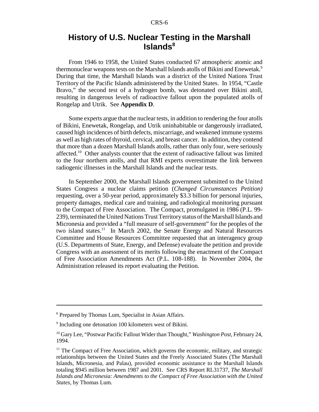# **History of U.S. Nuclear Testing in the Marshall Islands<sup>8</sup>**

From 1946 to 1958, the United States conducted 67 atmospheric atomic and thermonuclear weapons tests on the Marshall Islands atolls of Bikini and Enewetak.9 During that time, the Marshall Islands was a district of the United Nations Trust Territory of the Pacific Islands administered by the United States. In 1954, "Castle Bravo," the second test of a hydrogen bomb, was detonated over Bikini atoll, resulting in dangerous levels of radioactive fallout upon the populated atolls of Rongelap and Utrik. See **Appendix D**.

Some experts argue that the nuclear tests, in addition to rendering the four atolls of Bikini, Enewetak, Rongelap, and Utrik uninhabitable or dangerously irradiated, caused high incidences of birth defects, miscarriage, and weakened immune systems as well as high rates of thyroid, cervical, and breast cancer. In addition, they contend that more than a dozen Marshall Islands atolls, rather than only four, were seriously affected.10 Other analysts counter that the extent of radioactive fallout was limited to the four northern atolls, and that RMI experts overestimate the link between radiogenic illnesses in the Marshall Islands and the nuclear tests.

In September 2000, the Marshall Islands government submitted to the United States Congress a nuclear claims petition (*Changed Circumstances Petition)* requesting, over a 50-year period, approximately \$3.3 billion for personal injuries, property damages, medical care and training, and radiological monitoring pursuant to the Compact of Free Association. The Compact, promulgated in 1986 (P.L. 99- 239), terminated the United Nations Trust Territory status of the Marshall Islands and Micronesia and provided a "full measure of self-government" for the peoples of the two island states.<sup>11</sup> In March 2002, the Senate Energy and Natural Resources Committee and House Resources Committee requested that an interagency group (U.S. Departments of State, Energy, and Defense) evaluate the petition and provide Congress with an assessment of its merits following the enactment of the Compact of Free Association Amendments Act (P.L. 108-188). In November 2004, the Administration released its report evaluating the Petition.

<sup>&</sup>lt;sup>8</sup> Prepared by Thomas Lum, Specialist in Asian Affairs.

<sup>9</sup> Including one detonation 100 kilometers west of Bikini.

<sup>10</sup> Gary Lee, "Postwar Pacific Fallout Wider than Thought," *Washington Post*, February 24, 1994.

 $11$  The Compact of Free Association, which governs the economic, military, and strategic relationships between the United States and the Freely Associated States (The Marshall Islands, Micronesia, and Palau), provided economic assistance to the Marshall Islands totaling \$945 million between 1987 and 2001. See CRS Report RL31737, *The Marshall Islands and Micronesia: Amendments to the Compact of Free Association with the United States*, by Thomas Lum.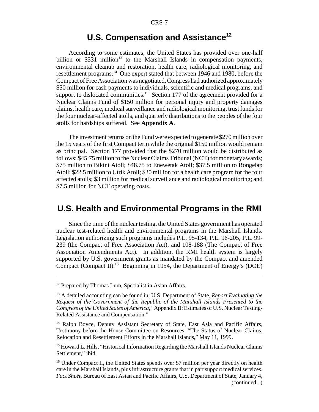# **U.S. Compensation and Assistance<sup>12</sup>**

According to some estimates, the United States has provided over one-half billion or  $$531$  million<sup>13</sup> to the Marshall Islands in compensation payments, environmental cleanup and restoration, health care, radiological monitoring, and resettlement programs.14 One expert stated that between 1946 and 1980, before the Compact of Free Association was negotiated, Congress had authorized approximately \$50 million for cash payments to individuals, scientific and medical programs, and support to dislocated communities.<sup>15</sup> Section 177 of the agreement provided for a Nuclear Claims Fund of \$150 million for personal injury and property damages claims, health care, medical surveillance and radiological monitoring, trust funds for the four nuclear-affected atolls, and quarterly distributions to the peoples of the four atolls for hardships suffered. See **Appendix A**.

The investment returns on the Fund were expected to generate \$270 million over the 15 years of the first Compact term while the original \$150 million would remain as principal. Section 177 provided that the \$270 million would be distributed as follows: \$45.75 million to the Nuclear Claims Tribunal (NCT) for monetary awards; \$75 million to Bikini Atoll; \$48.75 to Enewetak Atoll; \$37.5 million to Rongelap Atoll; \$22.5 million to Utrik Atoll; \$30 million for a health care program for the four affected atolls; \$3 million for medical surveillance and radiological monitoring; and \$7.5 million for NCT operating costs.

# **U.S. Health and Environmental Programs in the RMI**

Since the time of the nuclear testing, the United States government has operated nuclear test-related health and environmental programs in the Marshall Islands. Legislation authorizing such programs includes P.L. 95-134, P.L. 96-205, P.L. 99- 239 (the Compact of Free Association Act), and 108-188 (The Compact of Free Association Amendments Act). In addition, the RMI health system is largely supported by U.S. government grants as mandated by the Compact and amended Compact (Compact II).<sup>16</sup> Beginning in 1954, the Department of Energy's (DOE)

<sup>&</sup>lt;sup>12</sup> Prepared by Thomas Lum, Specialist in Asian Affairs.

<sup>&</sup>lt;sup>13</sup> A detailed accounting can be found in: U.S. Department of State, *Report Evaluating the Request of the Government of the Republic of the Marshall Islands Presented to the Congress of the United States of America*, "Appendix B: Estimates of U.S. Nuclear Testing-Related Assistance and Compensation."

<sup>&</sup>lt;sup>14</sup> Ralph Boyce, Deputy Assistant Secretary of State, East Asia and Pacific Affairs, Testimony before the House Committee on Resources, "The Status of Nuclear Claims, Relocation and Resettlement Efforts in the Marshall Islands," May 11, 1999.

<sup>&</sup>lt;sup>15</sup> Howard L. Hills, "Historical Information Regarding the Marshall Islands Nuclear Claims Settlement," ibid.

<sup>&</sup>lt;sup>16</sup> Under Compact II, the United States spends over \$7 million per year directly on health care in the Marshall Islands, plus infrastructure grants that in part support medical services. *Fact Sheet*, Bureau of East Asian and Pacific Affairs, U.S. Department of State, January 4, (continued...)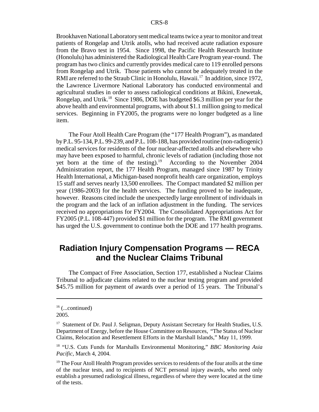Brookhaven National Laboratory sent medical teams twice a year to monitor and treat patients of Rongelap and Utrik atolls, who had received acute radiation exposure from the Bravo test in 1954. Since 1998, the Pacific Health Research Institute (Honolulu) has administered the Radiological Health Care Program year-round. The program has two clinics and currently provides medical care to 119 enrolled persons from Rongelap and Utrik. Those patients who cannot be adequately treated in the RMI are referred to the Straub Clinic in Honolulu, Hawaii.<sup>17</sup> In addition, since 1972, the Lawrence Livermore National Laboratory has conducted environmental and agricultural studies in order to assess radiological conditions at Bikini, Enewetak, Rongelap, and Utrik.<sup>18</sup> Since 1986, DOE has budgeted \$6.3 million per year for the above health and environmental programs, with about \$1.1 million going to medical services. Beginning in FY2005, the programs were no longer budgeted as a line item.

The Four Atoll Health Care Program (the "177 Health Program"), as mandated by P.L. 95-134, P.L. 99-239, and P.L. 108-188, has provided routine (non-radiogenic) medical services for residents of the four nuclear-affected atolls and elsewhere who may have been exposed to harmful, chronic levels of radiation (including those not yet born at the time of the testing).<sup>19</sup> According to the November 2004 Administration report, the 177 Health Program, managed since 1987 by Trinity Health International, a Michigan-based nonprofit health care organization, employs 15 staff and serves nearly 13,500 enrollees. The Compact mandated \$2 million per year (1986-2003) for the health services. The funding proved to be inadequate, however. Reasons cited include the unexpectedly large enrollment of individuals in the program and the lack of an inflation adjustment in the funding. The services received no appropriations for FY2004. The Consolidated Appropriations Act for FY2005 (P.L. 108-447) provided \$1 million for the program. The RMI government has urged the U.S. government to continue both the DOE and 177 health programs.

# **Radiation Injury Compensation Programs — RECA and the Nuclear Claims Tribunal**

The Compact of Free Association, Section 177, established a Nuclear Claims Tribunal to adjudicate claims related to the nuclear testing program and provided \$45.75 million for payment of awards over a period of 15 years. The Tribunal's

 $16$  (...continued)

<sup>2005.</sup>

<sup>&</sup>lt;sup>17</sup> Statement of Dr. Paul J. Seligman, Deputy Assistant Secretary for Health Studies, U.S. Department of Energy, before the House Committee on Resources, "The Status of Nuclear Claims, Relocation and Resettlement Efforts in the Marshall Islands," May 11, 1999.

<sup>18 &</sup>quot;U.S. Cuts Funds for Marshalls Environmental Monitoring," *BBC Monitoring Asia Pacific,* March 4, 2004.

<sup>&</sup>lt;sup>19</sup> The Four Atoll Health Program provides services to residents of the four atolls at the time of the nuclear tests, and to recipients of NCT personal injury awards, who need only establish a presumed radiological illness, regardless of where they were located at the time of the tests.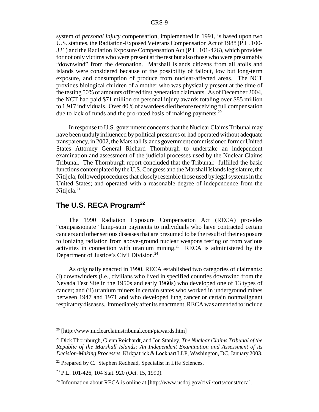system of *personal injury* compensation, implemented in 1991, is based upon two U.S. statutes, the Radiation-Exposed Veterans Compensation Act of 1988 (P.L. 100- 321) and the Radiation Exposure Compensation Act (P.L. 101-426), which provides for not only victims who were present at the test but also those who were presumably "downwind" from the detonation. Marshall Islands citizens from all atolls and islands were considered because of the possibility of fallout, low but long-term exposure, and consumption of produce from nuclear-affected areas. The NCT provides biological children of a mother who was physically present at the time of the testing 50% of amounts offered first generation claimants. As of December 2004, the NCT had paid \$71 million on personal injury awards totaling over \$85 million to 1,917 individuals. Over 40% of awardees died before receiving full compensation due to lack of funds and the pro-rated basis of making payments.<sup>20</sup>

In response to U.S. government concerns that the Nuclear Claims Tribunal may have been unduly influenced by political pressures or had operated without adequate transparency, in 2002, the Marshall Islands government commissioned former United States Attorney General Richard Thornburgh to undertake an independent examination and assessment of the judicial processes used by the Nuclear Claims Tribunal. The Thornburgh report concluded that the Tribunal: fulfilled the basic functions contemplated by the U.S. Congress and the Marshall Islands legislature, the Nitijela; followed procedures that closely resemble those used by legal systems in the United States; and operated with a reasonable degree of independence from the Nitijela. $^{21}$ 

# The U.S. RECA Program<sup>22</sup>

The 1990 Radiation Exposure Compensation Act (RECA) provides "compassionate" lump-sum payments to individuals who have contracted certain cancers and other serious diseases that are presumed to be the result of their exposure to ionizing radiation from above-ground nuclear weapons testing or from various activities in connection with uranium mining.<sup>23</sup> RECA is administered by the Department of Justice's Civil Division.<sup>24</sup>

As originally enacted in 1990, RECA established two categories of claimants: (i) downwinders (i.e., civilians who lived in specified counties downwind from the Nevada Test Site in the 1950s and early 1960s) who developed one of 13 types of cancer; and (ii) uranium miners in certain states who worked in underground mines between 1947 and 1971 and who developed lung cancer or certain nonmalignant respiratory diseases. Immediately after its enactment, RECA was amended to include

<sup>20 [</sup>http://www.nuclearclaimstribunal.com/piawards.htm]

<sup>21</sup> Dick Thornburgh, Glenn Reichardt, and Jon Stanley, *The Nuclear Claims Tribunal of the Republic of the Marshall Islands: An Independent Examination and Assessment of its Decision-Making Processes*, Kirkpatrick & Lockhart LLP, Washington, DC, January 2003.

 $22$  Prepared by C. Stephen Redhead, Specialist in Life Sciences.

<sup>23</sup> P.L. 101-426, 104 Stat. 920 (Oct. 15, 1990).

<sup>&</sup>lt;sup>24</sup> Information about RECA is online at  $[http://www.usdoj.gov/civil/torts/const/reca]$ .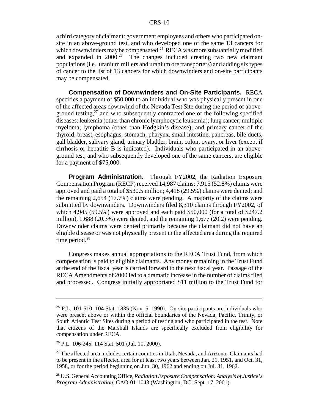a third category of claimant: government employees and others who participated onsite in an above-ground test, and who developed one of the same 13 cancers for which downwinders may be compensated.<sup>25</sup> RECA was more substantially modified and expanded in  $2000^{26}$  The changes included creating two new claimant populations (i.e., uranium millers and uranium ore transporters) and adding six types of cancer to the list of 13 cancers for which downwinders and on-site participants may be compensated.

**Compensation of Downwinders and On-Site Participants.** RECA specifies a payment of \$50,000 to an individual who was physically present in one of the affected areas downwind of the Nevada Test Site during the period of aboveground testing, $^{27}$  and who subsequently contracted one of the following specified diseases: leukemia (other than chronic lymphocytic leukemia); lung cancer; multiple myeloma; lymphoma (other than Hodgkin's disease); and primary cancer of the thyroid, breast, esophagus, stomach, pharynx, small intestine, pancreas, bile ducts, gall bladder, salivary gland, urinary bladder, brain, colon, ovary, or liver (except if cirrhosis or hepatitis B is indicated). Individuals who participated in an aboveground test, and who subsequently developed one of the same cancers, are eligible for a payment of \$75,000.

**Program Administration.** Through FY2002, the Radiation Exposure Compensation Program (RECP) received 14,987 claims: 7,915 (52.8%) claims were approved and paid a total of \$530.5 million; 4,418 (29.5%) claims were denied; and the remaining 2,654 (17.7%) claims were pending. A majority of the claims were submitted by downwinders. Downwinders filed 8,310 claims through FY2002, of which 4,945 (59.5%) were approved and each paid \$50,000 (for a total of \$247.2 million),  $1,688$  (20.3%) were denied, and the remaining  $1,677$  (20.2) were pending. Downwinder claims were denied primarily because the claimant did not have an eligible disease or was not physically present in the affected area during the required time period. $28$ 

Congress makes annual appropriations to the RECA Trust Fund, from which compensation is paid to eligible claimants. Any money remaining in the Trust Fund at the end of the fiscal year is carried forward to the next fiscal year. Passage of the RECA Amendments of 2000 led to a dramatic increase in the number of claims filed and processed. Congress initially appropriated \$11 million to the Trust Fund for

<sup>&</sup>lt;sup>25</sup> P.L. 101-510, 104 Stat. 1835 (Nov. 5, 1990). On-site participants are individuals who were present above or within the official boundaries of the Nevada, Pacific, Trinity, or South Atlantic Test Sites during a period of testing and who participated in the test. Note that citizens of the Marshall Islands are specifically excluded from eligibility for compensation under RECA.

<sup>26</sup> P.L. 106-245, 114 Stat. 501 (Jul. 10, 2000).

 $27$  The affected area includes certain counties in Utah, Nevada, and Arizona. Claimants had to be present in the affected area for at least two years between Jan. 21, 1951, and Oct. 31, 1958, or for the period beginning on Jun. 30, 1962 and ending on Jul. 31, 1962.

<sup>28</sup> U.S. General Accounting Office, *Radiation Exposure Compensation: Analysis of Justice's Program Administration*, GAO-01-1043 (Washington, DC: Sept. 17, 2001).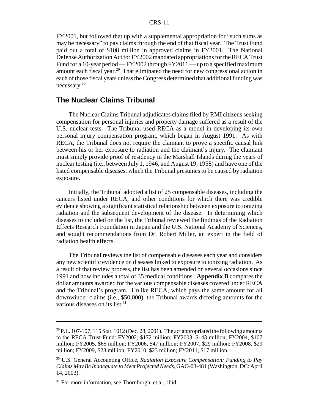FY2001, but followed that up with a supplemental appropriation for "such sums as may be necessary" to pay claims through the end of that fiscal year. The Trust Fund paid out a total of \$108 million in approved claims in FY2001. The National Defense Authorization Act for FY2002 mandated appropriations for the RECA Trust Fund for a 10-year period — FY2002 through FY2011 — up to a specified maximum amount each fiscal year.29 That eliminated the need for new congressional action in each of those fiscal years unless the Congress determined that additional funding was necessary.30

#### **The Nuclear Claims Tribunal**

The Nuclear Claims Tribunal adjudicates claims filed by RMI citizens seeking compensation for personal injuries and property damage suffered as a result of the U.S. nuclear tests. The Tribunal used RECA as a model in developing its own personal injury compensation program, which began in August 1991. As with RECA, the Tribunal does not require the claimant to prove a specific causal link between his or her exposure to radiation and the claimant's injury. The claimant must simply provide proof of residency in the Marshall Islands during the years of nuclear testing (i.e., between July 1, 1946, and August 19, 1958) and have one of the listed compensable diseases, which the Tribunal presumes to be caused by radiation exposure.

Initially, the Tribunal adopted a list of 25 compensable diseases, including the cancers listed under RECA, and other conditions for which there was credible evidence showing a significant statistical relationship between exposure to ionizing radiation and the subsequent development of the disease. In determining which diseases to included on the list, the Tribunal reviewed the findings of the Radiation Effects Research Foundation in Japan and the U.S. National Academy of Sciences, and sought recommendations from Dr. Robert Miller, an expert in the field of radiation health effects.

The Tribunal reviews the list of compensable diseases each year and considers any new scientific evidence on diseases linked to exposure to ionizing radiation. As a result of that review process, the list has been amended on several occasions since 1991 and now includes a total of 35 medical conditions. **Appendix B** compares the dollar amounts awarded for the various compensable diseases covered under RECA and the Tribunal's program. Unlike RECA, which pays the same amount for all downwinder claims (i.e., \$50,000), the Tribunal awards differing amounts for the various diseases on its list. $31$ 

<sup>&</sup>lt;sup>29</sup> P.L. 107-107, 115 Stat. 1012 (Dec. 28, 2001). The act appropriated the following amounts to the RECA Trust Fund: FY2002, \$172 million; FY2003, \$143 million; FY2004, \$107 million; FY2005, \$65 million; FY2006, \$47 million; FY2007, \$29 million; FY2008, \$29 million; FY2009, \$23 million; FY2010, \$23 million; FY2011, \$17 million.

<sup>30</sup> U.S. General Accounting Office, *Radiation Exposure Compensation: Funding to Pay Claims May Be Inadequate to Meet Projected Needs*, GAO-03-481 (Washington, DC: April 14, 2003).

 $31$  For more information, see Thornburgh, et al., ibid.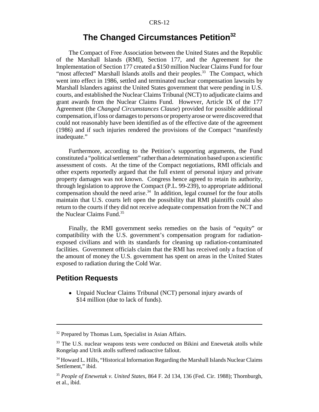# **The Changed Circumstances Petition**<sup>32</sup>

The Compact of Free Association between the United States and the Republic of the Marshall Islands (RMI), Section 177, and the Agreement for the Implementation of Section 177 created a \$150 million Nuclear Claims Fund for four "most affected" Marshall Islands atolls and their peoples.<sup>33</sup> The Compact, which went into effect in 1986, settled and terminated nuclear compensation lawsuits by Marshall Islanders against the United States government that were pending in U.S. courts, and established the Nuclear Claims Tribunal (NCT) to adjudicate claims and grant awards from the Nuclear Claims Fund. However, Article IX of the 177 Agreement (the *Changed Circumstances Clause*) provided for possible additional compensation, if loss or damages to persons or property arose or were discovered that could not reasonably have been identified as of the effective date of the agreement (1986) and if such injuries rendered the provisions of the Compact "manifestly inadequate."

Furthermore, according to the Petition's supporting arguments, the Fund constituted a "political settlement" rather than a determination based upon a scientific assessment of costs. At the time of the Compact negotiations, RMI officials and other experts reportedly argued that the full extent of personal injury and private property damages was not known. Congress hence agreed to retain its authority, through legislation to approve the Compact (P.L. 99-239), to appropriate additional compensation should the need arise.<sup>34</sup> In addition, legal counsel for the four atolls maintain that U.S. courts left open the possibility that RMI plaintiffs could also return to the courts if they did not receive adequate compensation from the NCT and the Nuclear Claims Fund.35

Finally, the RMI government seeks remedies on the basis of "equity" or compatibility with the U.S. government's compensation program for radiationexposed civilians and with its standards for cleaning up radiation-contaminated facilities. Government officials claim that the RMI has received only a fraction of the amount of money the U.S. government has spent on areas in the United States exposed to radiation during the Cold War.

#### **Petition Requests**

• Unpaid Nuclear Claims Tribunal (NCT) personal injury awards of \$14 million (due to lack of funds).

<sup>&</sup>lt;sup>32</sup> Prepared by Thomas Lum, Specialist in Asian Affairs.

<sup>&</sup>lt;sup>33</sup> The U.S. nuclear weapons tests were conducted on Bikini and Enewetak atolls while Rongelap and Utrik atolls suffered radioactive fallout.

<sup>&</sup>lt;sup>34</sup> Howard L. Hills, "Historical Information Regarding the Marshall Islands Nuclear Claims Settlement," ibid.

<sup>35</sup> *People of Enewetak v. United States*, 864 F. 2d 134, 136 (Fed. Cir. 1988); Thornburgh, et al., ibid.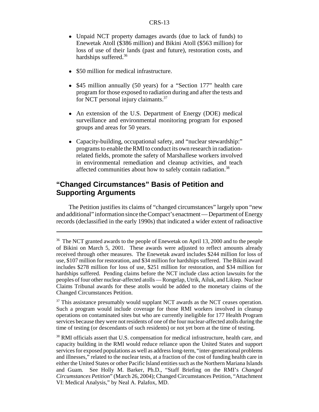- Unpaid NCT property damages awards (due to lack of funds) to Enewetak Atoll (\$386 million) and Bikini Atoll (\$563 million) for loss of use of their lands (past and future), restoration costs, and hardships suffered.<sup>36</sup>
- \$50 million for medical infrastructure.
- \$45 million annually (50 years) for a "Section 177" health care program for those exposed to radiation during and after the tests and for NCT personal injury claimants.<sup>37</sup>
- An extension of the U.S. Department of Energy (DOE) medical surveillance and environmental monitoring program for exposed groups and areas for 50 years.
- Capacity-building, occupational safety, and "nuclear stewardship:" programs to enable the RMI to conduct its own research in radiationrelated fields, promote the safety of Marshallese workers involved in environmental remediation and cleanup activities, and teach affected communities about how to safely contain radiation.<sup>38</sup>

## **"Changed Circumstances" Basis of Petition and Supporting Arguments**

The Petition justifies its claims of "changed circumstances" largely upon "new and additional" information since the Compact's enactment — Department of Energy records (declassified in the early 1990s) that indicated a wider extent of radioactive

<sup>&</sup>lt;sup>36</sup> The NCT granted awards to the people of Enewetak on April 13, 2000 and to the people of Bikini on March 5, 2001. These awards were adjusted to reflect amounts already received through other measures. The Enewetak award includes \$244 million for loss of use, \$107 million for restoration, and \$34 million for hardships suffered. The Bikini award includes \$278 million for loss of use, \$251 million for restoration, and \$34 million for hardships suffered. Pending claims before the NCT include class action lawsuits for the peoples of four other nuclear-affected atolls — Rongelap, Utrik, Ailuk, and Likiep. Nuclear Claims Tribunal awards for these atolls would be added to the monetary claims of the Changed Circumstances Petition.

<sup>&</sup>lt;sup>37</sup> This assistance presumably would supplant NCT awards as the NCT ceases operation. Such a program would include coverage for those RMI workers involved in cleanup operations on contaminated sites but who are currently ineligible for 177 Health Program services because they were not residents of one of the four nuclear-affected atolls during the time of testing (or descendants of such residents) or not yet born at the time of testing.

<sup>&</sup>lt;sup>38</sup> RMI officials assert that U.S. compensation for medical infrastructure, health care, and capacity building in the RMI would reduce reliance upon the United States and support services for exposed populations as well as address long-term, "inter-generational problems and illnesses," related to the nuclear tests, at a fraction of the cost of funding health care in either the United States or other Pacific Island entities such as the Northern Mariana Islands and Guam. See Holly M. Barker, Ph.D., "Staff Briefing on the RMI's *Changed Circumstances Petition*" (March 26, 2004); Changed Circumstances Petition, "Attachment VI: Medical Analysis," by Neal A. Palafox, MD.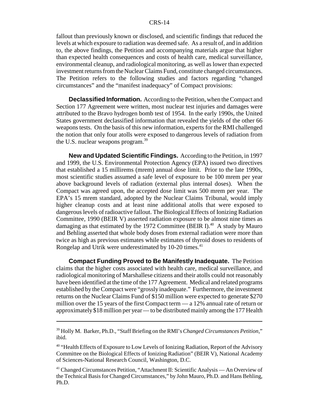fallout than previously known or disclosed, and scientific findings that reduced the levels at which exposure to radiation was deemed safe. As a result of, and in addition to, the above findings, the Petition and accompanying materials argue that higher than expected health consequences and costs of health care, medical surveillance, environmental cleanup, and radiological monitoring, as well as lower than expected investment returns from the Nuclear Claims Fund, constitute changed circumstances. The Petition refers to the following studies and factors regarding "changed circumstances" and the "manifest inadequacy" of Compact provisions:

**Declassified Information.** According to the Petition, when the Compact and Section 177 Agreement were written, most nuclear test injuries and damages were attributed to the Bravo hydrogen bomb test of 1954. In the early 1990s, the United States government declassified information that revealed the yields of the other 66 weapons tests. On the basis of this new information, experts for the RMI challenged the notion that only four atolls were exposed to dangerous levels of radiation from the U.S. nuclear weapons program.<sup>39</sup>

**New and Updated Scientific Findings.** According to the Petition, in 1997 and 1999, the U.S. Environmental Protection Agency (EPA) issued two directives that established a 15 millirems (mrem) annual dose limit. Prior to the late 1990s, most scientific studies assumed a safe level of exposure to be 100 mrem per year above background levels of radiation (external plus internal doses). When the Compact was agreed upon, the accepted dose limit was 500 mrem per year. The EPA's 15 mrem standard, adopted by the Nuclear Claims Tribunal, would imply higher cleanup costs and at least nine additional atolls that were exposed to dangerous levels of radioactive fallout. The Biological Effects of Ionizing Radiation Committee, 1990 (BEIR V) asserted radiation exposure to be almost nine times as damaging as that estimated by the 1972 Committee (BEIR I).<sup>40</sup> A study by Mauro and Behling asserted that whole body doses from external radiation were more than twice as high as previous estimates while estimates of thyroid doses to residents of Rongelap and Utrik were underestimated by 10-20 times.<sup>41</sup>

**Compact Funding Proved to Be Manifestly Inadequate.** The Petition claims that the higher costs associated with health care, medical surveillance, and radiological monitoring of Marshallese citizens and their atolls could not reasonably have been identified at the time of the 177 Agreement. Medical and related programs established by the Compact were "grossly inadequate." Furthermore, the investment returns on the Nuclear Claims Fund of \$150 million were expected to generate \$270 million over the 15 years of the first Compact term — a 12% annual rate of return or approximately \$18 million per year — to be distributed mainly among the 177 Health

<sup>39</sup> Holly M. Barker, Ph.D., "Staff Briefing on the RMI's *Changed Circumstances Petition*," ibid.

<sup>&</sup>lt;sup>40</sup> "Health Effects of Exposure to Low Levels of Ionizing Radiation, Report of the Advisory Committee on the Biological Effects of Ionizing Radiation" (BEIR V), National Academy of Sciences-National Research Council, Washington, D.C.

<sup>41</sup> Changed Circumstances Petition, "Attachment II: Scientific Analysis — An Overview of the Technical Basis for Changed Circumstances," by John Mauro, Ph.D. and Hans Behling, Ph.D.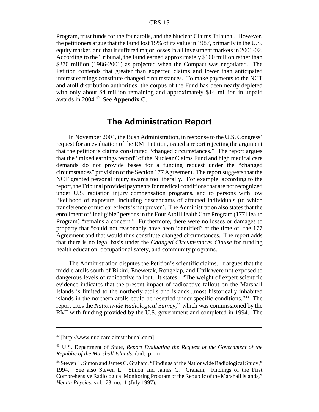Program, trust funds for the four atolls, and the Nuclear Claims Tribunal. However, the petitioners argue that the Fund lost 15% of its value in 1987, primarily in the U.S. equity market, and that it suffered major losses in all investment markets in 2001-02. According to the Tribunal, the Fund earned approximately \$160 million rather than \$270 million (1986-2001) as projected when the Compact was negotiated. The Petition contends that greater than expected claims and lower than anticipated interest earnings constitute changed circumstances. To make payments to the NCT and atoll distribution authorities, the corpus of the Fund has been nearly depleted with only about \$4 million remaining and approximately \$14 million in unpaid awards in 2004.42 See **Appendix C**.

# **The Administration Report**

In November 2004, the Bush Administration, in response to the U.S. Congress' request for an evaluation of the RMI Petition, issued a report rejecting the argument that the petition's claims constituted "changed circumstances." The report argues that the "mixed earnings record" of the Nuclear Claims Fund and high medical care demands do not provide bases for a funding request under the "changed circumstances" provision of the Section 177 Agreement. The report suggests that the NCT granted personal injury awards too liberally. For example, according to the report, the Tribunal provided payments for medical conditions that are not recognized under U.S. radiation injury compensation programs, and to persons with low likelihood of exposure, including descendants of affected individuals (to which transference of nuclear effects is not proven). The Administration also states that the enrollment of "ineligible" persons in the Four Atoll Health Care Program (177 Health Program) "remains a concern." Furthermore, there were no losses or damages to property that "could not reasonably have been identified" at the time of the 177 Agreement and that would thus constitute changed circumstances. The report adds that there is no legal basis under the *Changed Circumstances Clause* for funding health education, occupational safety, and community programs.

The Administration disputes the Petition's scientific claims. It argues that the middle atolls south of Bikini, Enewetak, Rongelap, and Utrik were not exposed to dangerous levels of radioactive fallout. It states: "The weight of expert scientific evidence indicates that the present impact of radioactive fallout on the Marshall Islands is limited to the northerly atolls and islands...most historically inhabited islands in the northern atolls could be resettled under specific conditions."43 The report cites the *Nationwide Radiological Survey*, 44 which was commissioned by the RMI with funding provided by the U.S. government and completed in 1994. The

<sup>42 [</sup>http://www.nuclearclaimstribunal.com]

<sup>43</sup> U.S. Department of State, *Report Evaluating the Request of the Government of the Republic of the Marshall Islands*, ibid., p. iii.

<sup>&</sup>lt;sup>44</sup> Steven L. Simon and James C. Graham, "Findings of the Nationwide Radiological Study," 1994. See also Steven L. Simon and James C. Graham, "Findings of the First Comprehensive Radiological Monitoring Program of the Republic of the Marshall Islands," *Health Physics*, vol. 73, no. 1 (July 1997).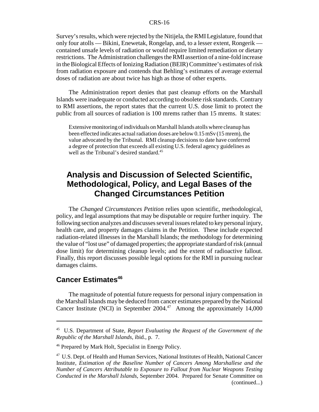Survey's results, which were rejected by the Nitijela, the RMI Legislature, found that only four atolls — Bikini, Enewetak, Rongelap, and, to a lesser extent, Rongerik contained unsafe levels of radiation or would require limited remediation or dietary restrictions. The Administration challenges the RMI assertion of a nine-fold increase in the Biological Effects of Ionizing Radiation (BEIR) Committee's estimates of risk from radiation exposure and contends that Behling's estimates of average external doses of radiation are about twice has high as those of other experts.

The Administration report denies that past cleanup efforts on the Marshall Islands were inadequate or conducted according to obsolete risk standards. Contrary to RMI assertions, the report states that the current U.S. dose limit to protect the public from all sources of radiation is 100 mrems rather than 15 mrems. It states:

Extensive monitoring of individuals on Marshall Islands atolls where cleanup has been effected indicates actual radiation doses are below 0.15 mSv (15 mrem), the value advocated by the Tribunal. RMI cleanup decisions to date have conferred a degree of protection that exceeds all existing U.S. federal agency guidelines as well as the Tribunal's desired standard.<sup>45</sup>

# **Analysis and Discussion of Selected Scientific, Methodological, Policy, and Legal Bases of the Changed Circumstances Petition**

The *Changed Circumstances Petition* relies upon scientific, methodological, policy, and legal assumptions that may be disputable or require further inquiry. The following section analyzes and discusses several issues related to key personal injury, health care, and property damages claims in the Petition. These include expected radiation-related illnesses in the Marshall Islands; the methodology for determining the value of "lost use" of damaged properties; the appropriate standard of risk (annual dose limit) for determining cleanup levels; and the extent of radioactive fallout. Finally, this report discusses possible legal options for the RMI in pursuing nuclear damages claims.

#### **Cancer Estimates<sup>46</sup>**

The magnitude of potential future requests for personal injury compensation in the Marshall Islands may be deduced from cancer estimates prepared by the National Cancer Institute (NCI) in September  $2004<sup>47</sup>$  Among the approximately 14,000

<sup>45</sup> U.S. Department of State, *Report Evaluating the Request of the Government of the Republic of the Marshall Islands*, ibid., p. 7.

<sup>46</sup> Prepared by Mark Holt, Specialist in Energy Policy.

<sup>47</sup> U.S. Dept. of Health and Human Services, National Institutes of Health, National Cancer Institute, *Estimation of the Baseline Number of Cancers Among Marshallese and the Number of Cancers Attributable to Exposure to Fallout from Nuclear Weapons Testing Conducted in the Marshall Islands*, September 2004. Prepared for Senate Committee on (continued...)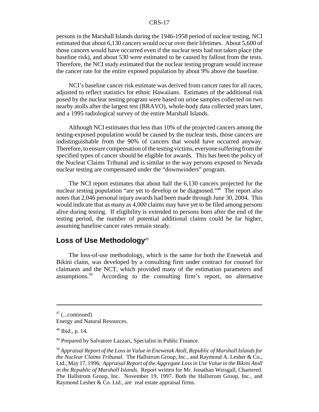persons in the Marshall Islands during the 1946-1958 period of nuclear testing, NCI estimated that about 6,130 cancers would occur over their lifetimes. About 5,600 of those cancers would have occurred even if the nuclear tests had not taken place (the baseline risk), and about 530 were estimated to be caused by fallout from the tests. Therefore, the NCI study estimated that the nuclear testing program would increase the cancer rate for the entire exposed population by about 9% above the baseline.

NCI's baseline cancer risk estimate was derived from cancer rates for all races, adjusted to reflect statistics for ethnic Hawaiians. Estimates of the additional risk posed by the nuclear testing program were based on urine samples collected on two nearby atolls after the largest test (BRAVO), whole-body data collected years later, and a 1995 radiological survey of the entire Marshall Islands.

Although NCI estimates that less than 10% of the projected cancers among the testing-exposed population would be caused by the nuclear tests, those cancers are indistinguishable from the 90% of cancers that would have occurred anyway. Therefore, to ensure compensation of the testing victims, everyone suffering from the specified types of cancer should be eligible for awards. This has been the policy of the Nuclear Claims Tribunal and is similar to the way persons exposed to Nevada nuclear testing are compensated under the "downwinders" program.

The NCI report estimates that about half the 6,130 cancers projected for the nuclear testing population "are yet to develop or be diagnosed."<sup>48</sup> The report also notes that 2,046 personal injury awards had been made through June 30, 2004. This would indicate that as many as 4,000 claims may have yet to be filed among persons alive during testing. If eligibility is extended to persons born after the end of the testing period, the number of potential additional claims could be far higher, assuming baseline cancer rates remain steady.

#### Loss of Use Methodology<sup>49</sup>

The loss-of-use methodology, which is the same for both the Enewetak and Bikini claim, was developed by a consulting firm under contract for counsel for claimants and the NCT, which provided many of the estimation parameters and assumptions.50 According to the consulting firm's report, no alternative

 $47$  (...continued)

Energy and Natural Resources.

 $48$  Ibid., p. 14.

<sup>49</sup> Prepared by Salvatore Lazzari, Specialist in Public Finance.

<sup>50</sup> *Appraisal Report of the Loss in Value in Enewetak Atoll, Republic of Marshall Islands for the Nuclear Claims Tribunal.* The Hallstrom Group, Inc., and Raymond A. Lesher & Co., Ltd., May 17, 1996; *Appraisal Report of the Aggregate Loss in Use Value in the Bikini Atoll in the Republic of Marshall Islands.* Report written for Mr. Jonathan Weisgall, Chartered. The Hallstrom Group, Inc. November 19, 1997. Both the Hallstrom Group, Inc., and Raymond Lesher & Co. Ltd., are real estate appraisal firms.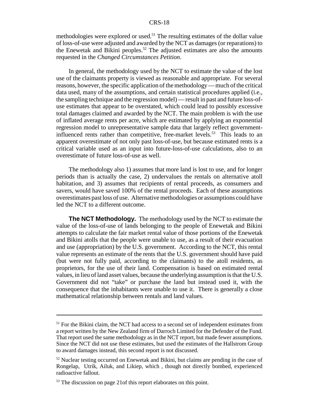methodologies were explored or used.<sup>51</sup> The resulting estimates of the dollar value of loss-of-use were adjusted and awarded by the NCT as damages (or reparations) to the Enewetak and Bikini peoples.<sup>52</sup> The adjusted estimates are also the amounts requested in the *Changed Circumstances Petition*.

In general, the methodology used by the NCT to estimate the value of the lost use of the claimants property is viewed as reasonable and appropriate. For several reasons, however, the specific application of the methodology — much of the critical data used, many of the assumptions, and certain statistical procedures applied (i.e., the sampling technique and the regression model) — result in past and future loss-ofuse estimates that appear to be overstated, which could lead to possibly excessive total damages claimed and awarded by the NCT. The main problem is with the use of inflated average rents per acre, which are estimated by applying an exponential regression model to unrepresentative sample data that largely reflect governmentinfluenced rents rather than competitive, free-market levels.<sup>53</sup> This leads to an apparent overestimate of not only past loss-of-use, but because estimated rents is a critical variable used as an input into future-loss-of-use calculations, also to an overestimate of future loss-of-use as well.

The methodology also 1) assumes that more land is lost to use, and for longer periods than is actually the case, 2) undervalues the rentals on alternative atoll habitation, and 3) assumes that recipients of rental proceeds, as consumers and savers, would have saved 100% of the rental proceeds. Each of these assumptions overestimates past loss of use. Alternative methodologies or assumptions could have led the NCT to a different outcome.

**The NCT Methodology.** The methodology used by the NCT to estimate the value of the loss-of-use of lands belonging to the people of Enewetak and Bikini attempts to calculate the fair market rental value of those portions of the Enewetak and Bikini atolls that the people were unable to use, as a result of their evacuation and use (appropriation) by the U.S. government. According to the NCT, this rental value represents an estimate of the rents that the U.S. government should have paid (but were not fully paid, according to the claimants) to the atoll residents, as proprietors, for the use of their land. Compensation is based on estimated rental values, in lieu of land asset values, because the underlying assumption is that the U.S. Government did not "take" or purchase the land but instead used it, with the consequence that the inhabitants were unable to use it. There is generally a close mathematical relationship between rentals and land values.

<sup>&</sup>lt;sup>51</sup> For the Bikini claim, the NCT had access to a second set of independent estimates from a report written by the New Zealand firm of Darroch Limited for the Defender of the Fund. That report used the same methodology as in the NCT report, but made fewer assumptions. Since the NCT did not use these estimates, but used the estimates of the Hallstrom Group to award damages instead, this second report is not discussed.

<sup>&</sup>lt;sup>52</sup> Nuclear testing occurred on Enewetak and Bikini, but claims are pending in the case of Rongelap, Utrik, Ailuk, and Likiep, which , though not directly bombed, experienced radioactive fallout.

<sup>&</sup>lt;sup>53</sup> The discussion on page 21of this report elaborates on this point.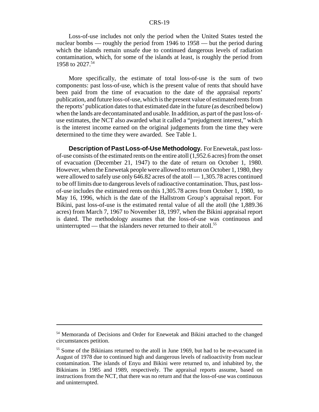Loss-of-use includes not only the period when the United States tested the nuclear bombs — roughly the period from 1946 to 1958 — but the period during which the islands remain unsafe due to continued dangerous levels of radiation contamination, which, for some of the islands at least, is roughly the period from 1958 to 2027.<sup>54</sup>

More specifically, the estimate of total loss-of-use is the sum of two components: past loss-of-use, which is the present value of rents that should have been paid from the time of evacuation to the date of the appraisal reports' publication, and future loss-of-use, which is the present value of estimated rents from the reports' publication dates to that estimated date in the future (as described below) when the lands are decontaminated and usable. In addition, as part of the past loss-ofuse estimates, the NCT also awarded what it called a "prejudgment interest," which is the interest income earned on the original judgements from the time they were determined to the time they were awarded. See Table 1.

**Description of Past Loss-of-Use Methodology.** For Enewetak, past lossof-use consists of the estimated rents on the entire atoll (1,952.6 acres) from the onset of evacuation (December 21, 1947) to the date of return on October 1, 1980. However, when the Enewetak people were allowed to return on October 1, 1980, they were allowed to safely use only 646.82 acres of the atoll — 1,305.78 acres continued to be off limits due to dangerous levels of radioactive contamination. Thus, past lossof-use includes the estimated rents on this 1,305.78 acres from October 1, 1980, to May 16, 1996, which is the date of the Hallstrom Group's appraisal report. For Bikini, past loss-of-use is the estimated rental value of all the atoll (the 1,889.36 acres) from March 7, 1967 to November 18, 1997, when the Bikini appraisal report is dated. The methodology assumes that the loss-of-use was continuous and uninterrupted — that the islanders never returned to their atoll.<sup>55</sup>

<sup>54</sup> Memoranda of Decisions and Order for Enewetak and Bikini attached to the changed circumstances petition.

<sup>&</sup>lt;sup>55</sup> Some of the Bikinians returned to the atoll in June 1969, but had to be re-evacuated in August of 1978 due to continued high and dangerous levels of radioactivity from nuclear contamination. The islands of Enyu and Bikini were returned to, and inhabited by, the Bikinians in 1985 and 1989, respectively. The appraisal reports assume, based on instructions from the NCT, that there was no return and that the loss-of-use was continuous and uninterrupted.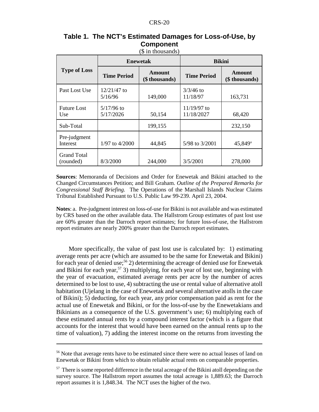|                                 | <b>Enewetak</b>                               |         | <b>Bikini</b>               |                          |  |
|---------------------------------|-----------------------------------------------|---------|-----------------------------|--------------------------|--|
| <b>Type of Loss</b>             | Amount<br><b>Time Period</b><br>(\$thousands) |         | <b>Time Period</b>          | Amount<br>(\$ thousands) |  |
| Past Lost Use                   | $12/21/47$ to<br>5/16/96                      | 149,000 | $3/3/46$ to<br>11/18/97     | 163,731                  |  |
| <b>Future Lost</b><br>Use       | $5/17/96$ to<br>5/17/2026                     | 50,154  | $11/19/97$ to<br>11/18/2027 | 68,420                   |  |
| Sub-Total                       |                                               | 199,155 | 232,150                     |                          |  |
| Pre-judgment<br><b>Interest</b> | 1/97 to 4/2000                                | 44,845  | 5/98 to 3/2001              | 45,849 <sup>a</sup>      |  |
| <b>Grand Total</b><br>(rounded) | 8/3/2000                                      | 244,000 | 3/5/2001                    | 278,000                  |  |

#### **Table 1. The NCT's Estimated Damages for Loss-of-Use, by Component**

**Sources**: Memoranda of Decisions and Order for Enewetak and Bikini attached to the Changed Circumstances Petition; and Bill Graham. *Outline of the Prepared Remarks for Congressional Staff Briefing.* The Operations of the Marshall Islands Nuclear Claims Tribunal Established Pursuant to U.S. Public Law 99-239. April 23, 2004.

**Notes**: a. Pre-judgment interest on loss-of-use for Bikini is not available and was estimated by CRS based on the other available data. The Hallstrom Group estimates of past lost use are 60% greater than the Darroch report estimates; for future loss-of-use, the Hallstrom report estimates are nearly 200% greater than the Darroch report estimates.

More specifically, the value of past lost use is calculated by: 1) estimating average rents per acre (which are assumed to be the same for Enewetak and Bikini) for each year of denied use;<sup>56</sup> 2) determining the acreage of denied use for Enewetak and Bikini for each year,<sup>57</sup> 3) multiplying, for each year of lost use, beginning with the year of evacuation, estimated average rents per acre by the number of acres determined to be lost to use, 4) subtracting the use or rental value of alternative atoll habitation (Ujelang in the case of Enewetak and several alternative atolls in the case of Bikini); 5) deducting, for each year, any prior compensation paid as rent for the actual use of Enewetak and Bikini, or for the loss-of-use by the Enewetakians and Bikinians as a consequence of the U.S. government's use; 6) multiplying each of these estimated annual rents by a compound interest factor (which is a figure that accounts for the interest that would have been earned on the annual rents up to the time of valuation), 7) adding the interest income on the returns from investing the

<sup>56</sup> Note that average rents have to be estimated since there were no actual leases of land on Enewetak or Bikini from which to obtain reliable actual rents on comparable properties.

<sup>&</sup>lt;sup>57</sup> There is some reported difference in the total acreage of the Bikini atoll depending on the survey source. The Hallstrom report assumes the total acreage is 1,889.63; the Darroch report assumes it is 1,848.34. The NCT uses the higher of the two.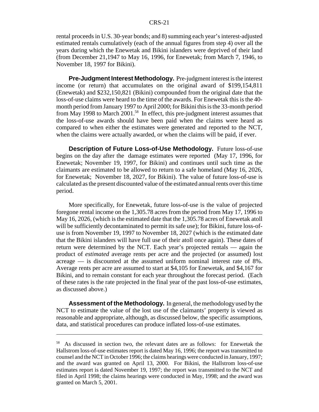rental proceeds in U.S. 30-year bonds; and 8) summing each year's interest-adjusted estimated rentals cumulatively (each of the annual figures from step 4) over all the years during which the Enewetak and Bikini islanders were deprived of their land (from December 21,1947 to May 16, 1996, for Enewetak; from March 7, 1946, to November 18, 1997 for Bikini).

**Pre-Judgment Interest Methodology.** Pre-judgment interest is the interest income (or return) that accumulates on the original award of \$199,154,811 (Enewetak) and \$232,150,821 (Bikini) compounded from the original date that the loss-of-use claims were heard to the time of the awards. For Enewetak this is the 40 month period from January 1997 to April 2000; for Bikini this is the 33-month period from May 1998 to March 2001.<sup>58</sup> In effect, this pre-judgment interest assumes that the loss-of-use awards should have been paid when the claims were heard as compared to when either the estimates were generated and reported to the NCT, when the claims were actually awarded, or when the claims will be paid, if ever.

**Description of Future Loss-of-Use Methodology.** Future loss-of-use begins on the day after the damage estimates were reported (May 17, 1996, for Enewetak; November 19, 1997, for Bikini) and continues until such time as the claimants are estimated to be allowed to return to a safe homeland (May 16, 2026, for Enewetak; November 18, 2027, for Bikini). The value of future loss-of-use is calculated as the present discounted value of the estimated annual rents over this time period.

More specifically, for Enewetak, future loss-of-use is the value of projected foregone rental income on the 1,305.78 acres from the period from May 17, 1996 to May 16, 2026, (which is the estimated date that the 1,305.78 acres of Enewetak atoll will be sufficiently decontaminated to permit its safe use); for Bikini, future loss-ofuse is from November 19, 1997 to November 18, 2027 (which is the estimated date that the Bikini islanders will have full use of their atoll once again). These dates of return were determined by the NCT. Each year's projected rentals — again the product of *estimated* average rents per acre and the projected (or assumed) lost acreage — is discounted at the assumed uniform nominal interest rate of 8%. Average rents per acre are assumed to start at \$4,105 for Enewetak, and \$4,167 for Bikini, and to remain constant for each year throughout the forecast period. (Each of these rates is the rate projected in the final year of the past loss-of-use estimates, as discussed above.)

**Assessment of the Methodology.** In general, the methodology used by the NCT to estimate the value of the lost use of the claimants' property is viewed as reasonable and appropriate, although, as discussed below, the specific assumptions, data, and statistical procedures can produce inflated loss-of-use estimates.

<sup>58</sup> As discussed in section two, the relevant dates are as follows: for Enewetak the Hallstrom loss-of-use estimates report is dated May 16, 1996; the report was transmitted to counsel and the NCT in October 1996; the claims hearings were conducted in January, 1997; and the award was granted on April 13, 2000. For Bikini, the Hallstrom loss-of-use estimates report is dated November 19, 1997; the report was transmitted to the NCT and filed in April 1998; the claims hearings were conducted in May, 1998; and the award was granted on March 5, 2001.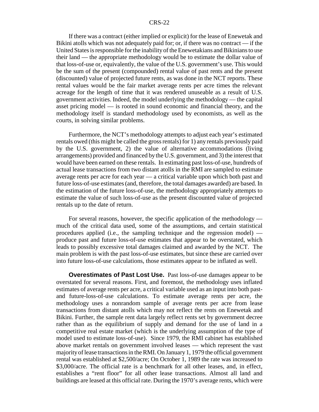If there was a contract (either implied or explicit) for the lease of Enewetak and Bikini atolls which was not adequately paid for; or, if there was no contract — if the United States is responsible for the inability of the Enewetakians and Bikinians to use their land — the appropriate methodology would be to estimate the dollar value of that loss-of-use or, equivalently, the value of the U.S. government's use. This would be the sum of the present (compounded) rental value of past rents and the present (discounted) value of projected future rents, as was done in the NCT reports. These rental values would be the fair market average rents per acre times the relevant acreage for the length of time that it was rendered unuseable as a result of U.S. government activities. Indeed, the model underlying the methodology — the capital asset pricing model — is rooted in sound economic and financial theory, and the methodology itself is standard methodology used by economists, as well as the courts, in solving similar problems.

Furthermore, the NCT's methodology attempts to adjust each year's estimated rentals owed (this might be called the gross rentals) for 1) any rentals previously paid by the U.S. government, 2) the value of alternative accommodations (living arrangements) provided and financed by the U.S. government, and 3) the interest that would have been earned on these rentals. In estimating past loss-of-use, hundreds of actual lease transactions from two distant atolls in the RMI are sampled to estimate average rents per acre for each year — a critical variable upon which both past and future loss-of-use estimates (and, therefore, the total damages awarded) are based. In the estimation of the future loss-of-use, the methodology appropriately attempts to estimate the value of such loss-of-use as the present discounted value of projected rentals up to the date of return.

For several reasons, however, the specific application of the methodology much of the critical data used, some of the assumptions, and certain statistical procedures applied (i.e., the sampling technique and the regression model) produce past and future loss-of-use estimates that appear to be overstated, which leads to possibly excessive total damages claimed and awarded by the NCT. The main problem is with the past loss-of-use estimates, but since these are carried over into future loss-of-use calculations, those estimates appear to be inflated as well.

**Overestimates of Past Lost Use.** Past loss-of-use damages appear to be overstated for several reasons. First, and foremost, the methodology uses inflated estimates of average rents per acre, a critical variable used as an input into both pastand future-loss-of-use calculations. To estimate average rents per acre, the methodology uses a nonrandom sample of average rents per acre from lease transactions from distant atolls which may not reflect the rents on Enewetak and Bikini. Further, the sample rent data largely reflect rents set by government decree rather than as the equilibrium of supply and demand for the use of land in a competitive real estate market (which is the underlying assumption of the type of model used to estimate loss-of-use). Since 1979, the RMI cabinet has established above market rentals on government involved leases — which represent the vast majority of lease transactions in the RMI. On January 1, 1979 the official government rental was established at \$2,500/acre; On October 1, 1989 the rate was increased to \$3,000/acre. The official rate is a benchmark for all other leases, and, in effect, establishes a "rent floor" for all other lease transactions. Almost all land and buildings are leased at this official rate. During the 1970's average rents, which were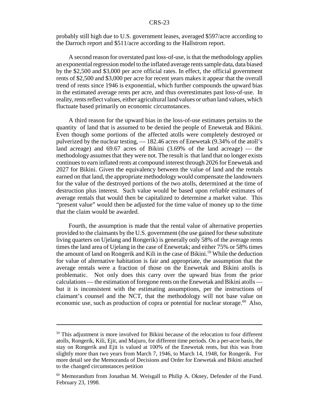probably still high due to U.S. government leases, averaged \$597/acre according to the Darroch report and \$511/acre according to the Hallstrom report.

A second reason for overstated past loss-of-use, is that the methodology applies an exponential regression model to the inflated average rents sample data, data biased by the \$2,500 and \$3,000 per acre official rates. In effect, the official government rents of \$2,500 and \$3,000 per acre for recent years makes it appear that the overall trend of rents since 1946 is exponential, which further compounds the upward bias in the estimated average rents per acre, and thus overestimates past loss-of-use. In reality, rents reflect values, either agricultural land values or urban land values, which fluctuate based primarily on economic circumstances.

A third reason for the upward bias in the loss-of-use estimates pertains to the quantity of land that is assumed to be denied the people of Enewetak and Bikini. Even though some portions of the affected atolls were completely destroyed or pulverized by the nuclear testing, — 182.46 acres of Enewetak (9.34% of the atoll's land acreage) and 69.67 acres of Bikini (3.69% of the land acreage) — the methodology assumes that they were not. The result is that land that no longer exists continues to earn inflated rents at compound interest through 2026 for Enewetak and 2027 for Bikini. Given the equivalency between the value of land and the rentals earned on that land, the appropriate methodology would compensate the landowners for the value of the destroyed portions of the two atolls, determined at the time of destruction plus interest. Such value would be based upon *reliable* estimates of average rentals that would then be capitalized to determine a market value. This "present value" would then be adjusted for the time value of money up to the time that the claim would be awarded.

Fourth, the assumption is made that the rental value of alternative properties provided to the claimants by the U.S. government (the use gained for these substitute living quarters on Ujelang and Rongerik) is generally only 58% of the average rents times the land area of Ujelang in the case of Enewetak; and either 75% or 58% times the amount of land on Rongerik and Kili in the case of Bikini.<sup>59</sup> While the deduction for value of alternative habitation is fair and appropriate, the assumption that the average rentals were a fraction of those on the Enewetak and Bikini atolls is problematic. Not only does this carry over the upward bias from the prior calculations — the estimation of foregone rents on the Enewetak and Bikini atolls but it is inconsistent with the estimating assumptions, per the instructions of claimant's counsel and the NCT, that the methodology will not base value on economic use, such as production of copra or potential for nuclear storage.<sup>60</sup> Also,

<sup>&</sup>lt;sup>59</sup> This adjustment is more involved for Bikini because of the relocation to four different atolls, Rongerik, Kili, Ejit, and Majuro, for different time periods. On a per-acre basis, the stay on Rongerik and Ejit is valued at 100% of the Enewetak rents, but this was from slightly more than two years from March 7, 1946, to March 14, 1948, for Rongerik. For more detail see the Memoranda of Decisions and Order for Enewetak and Bikini attached to the changed circumstances petition

<sup>60</sup> Memorandum from Jonathan M. Weisgall to Philip A. Okney, Defender of the Fund. February 23, 1998.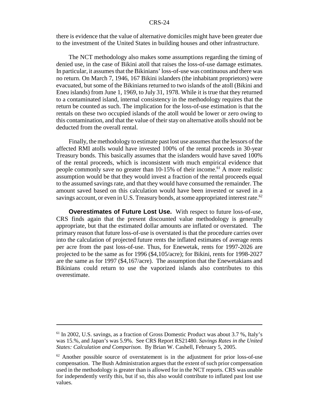there is evidence that the value of alternative domiciles might have been greater due to the investment of the United States in building houses and other infrastructure.

The NCT methodology also makes some assumptions regarding the timing of denied use, in the case of Bikini atoll that raises the loss-of-use damage estimates. In particular, it assumes that the Bikinians' loss-of-use was continuous and there was no return. On March 7, 1946, 167 Bikini islanders (the inhabitant proprietors) were evacuated, but some of the Bikinians returned to two islands of the atoll (Bikini and Eneu islands) from June 1, 1969, to July 31, 1978. While it is true that they returned to a contaminated island, internal consistency in the methodology requires that the return be counted as such. The implication for the loss-of-use estimation is that the rentals on these two occupied islands of the atoll would be lower or zero owing to this contamination, and that the value of their stay on alternative atolls should not be deducted from the overall rental.

Finally, the methodology to estimate past lost use assumes that the lessors of the affected RMI atolls would have invested 100% of the rental proceeds in 30-year Treasury bonds. This basically assumes that the islanders would have saved 100% of the rental proceeds, which is inconsistent with much empirical evidence that people commonly save no greater than  $10-15\%$  of their income.<sup>61</sup> A more realistic assumption would be that they would invest a fraction of the rental proceeds equal to the assumed savings rate, and that they would have consumed the remainder. The amount saved based on this calculation would have been invested or saved in a savings account, or even in U.S. Treasury bonds, at some appropriated interest rate.<sup>62</sup>

**Overestimates of Future Lost Use.** With respect to future loss-of-use, CRS finds again that the present discounted value methodology is generally appropriate, but that the estimated dollar amounts are inflated or overstated. The primary reason that future loss-of-use is overstated is that the procedure carries over into the calculation of projected future rents the inflated estimates of average rents per acre from the past loss-of-use. Thus, for Enewetak, rents for 1997-2026 are projected to be the same as for 1996 (\$4,105/acre); for Bikini, rents for 1998-2027 are the same as for 1997 (\$4,167/acre). The assumption that the Enewetakians and Bikinians could return to use the vaporized islands also contributes to this overestimate.

<sup>&</sup>lt;sup>61</sup> In 2002, U.S. savings, as a fraction of Gross Domestic Product was about 3.7 %, Italy's was 15.%, and Japan's was 5.9%. See CRS Report RS21480. *Savings Rates in the United States: Calculation and Comparison.* By Brian W. Cashell, February 5, 2005.

 $62$  Another possible source of overstatement is in the adjustment for prior loss-of-use compensation. The Bush Administration argues that the extent of such prior compensation used in the methodology is greater than is allowed for in the NCT reports. CRS was unable for independently verify this, but if so, this also would contribute to inflated past lost use values.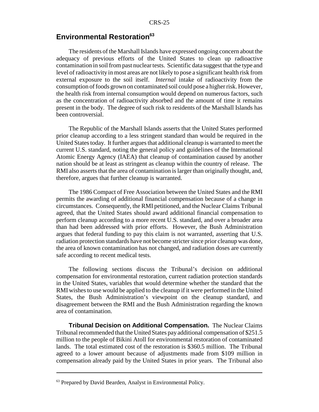## **Environmental Restoration<sup>63</sup>**

The residents of the Marshall Islands have expressed ongoing concern about the adequacy of previous efforts of the United States to clean up radioactive contamination in soil from past nuclear tests. Scientific data suggest that the type and level of radioactivity in most areas are not likely to pose a significant health risk from external exposure to the soil itself. *Internal* intake of radioactivity from the consumption of foods grown on contaminated soil could pose a higher risk. However, the health risk from internal consumption would depend on numerous factors, such as the concentration of radioactivity absorbed and the amount of time it remains present in the body. The degree of such risk to residents of the Marshall Islands has been controversial.

The Republic of the Marshall Islands asserts that the United States performed prior cleanup according to a less stringent standard than would be required in the United States today. It further argues that additional cleanup is warranted to meet the current U.S. standard, noting the general policy and guidelines of the International Atomic Energy Agency (IAEA) that cleanup of contamination caused by another nation should be at least as stringent as cleanup within the country of release. The RMI also asserts that the area of contamination is larger than originally thought, and, therefore, argues that further cleanup is warranted.

The 1986 Compact of Free Association between the United States and the RMI permits the awarding of additional financial compensation because of a change in circumstances. Consequently, the RMI petitioned, and the Nuclear Claims Tribunal agreed, that the United States should award additional financial compensation to perform cleanup according to a more recent U.S. standard, and over a broader area than had been addressed with prior efforts. However, the Bush Administration argues that federal funding to pay this claim is not warranted, asserting that U.S. radiation protection standards have not become stricter since prior cleanup was done, the area of known contamination has not changed, and radiation doses are currently safe according to recent medical tests.

The following sections discuss the Tribunal's decision on additional compensation for environmental restoration, current radiation protection standards in the United States, variables that would determine whether the standard that the RMI wishes to use would be applied to the cleanup if it were performed in the United States, the Bush Administration's viewpoint on the cleanup standard, and disagreement between the RMI and the Bush Administration regarding the known area of contamination.

**Tribunal Decision on Additional Compensation.** The Nuclear Claims Tribunal recommended that the United States pay additional compensation of \$251.5 million to the people of Bikini Atoll for environmental restoration of contaminated lands. The total estimated cost of the restoration is \$360.5 million. The Tribunal agreed to a lower amount because of adjustments made from \$109 million in compensation already paid by the United States in prior years. The Tribunal also

<sup>&</sup>lt;sup>63</sup> Prepared by David Bearden, Analyst in Environmental Policy.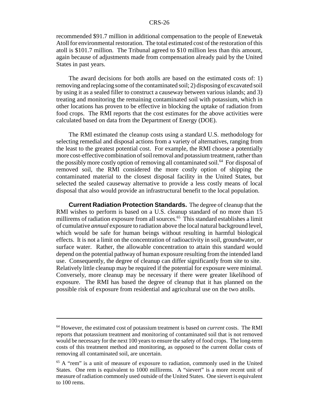recommended \$91.7 million in additional compensation to the people of Enewetak Atoll for environmental restoration. The total estimated cost of the restoration of this atoll is \$101.7 million. The Tribunal agreed to \$10 million less than this amount, again because of adjustments made from compensation already paid by the United States in past years.

The award decisions for both atolls are based on the estimated costs of: 1) removing and replacing some of the contaminated soil; 2) disposing of excavated soil by using it as a sealed filler to construct a causeway between various islands; and 3) treating and monitoring the remaining contaminated soil with potassium, which in other locations has proven to be effective in blocking the uptake of radiation from food crops. The RMI reports that the cost estimates for the above activities were calculated based on data from the Department of Energy (DOE).

The RMI estimated the cleanup costs using a standard U.S. methodology for selecting remedial and disposal actions from a variety of alternatives, ranging from the least to the greatest potential cost. For example, the RMI choose a potentially more cost-effective combination of soil removal and potassium treatment, rather than the possibly more costly option of removing all contaminated soil.<sup>64</sup> For disposal of removed soil, the RMI considered the more costly option of shipping the contaminated material to the closest disposal facility in the United States, but selected the sealed causeway alternative to provide a less costly means of local disposal that also would provide an infrastructural benefit to the local population.

**Current Radiation Protection Standards.** The degree of cleanup that the RMI wishes to perform is based on a U.S. cleanup standard of no more than 15 millirems of radiation exposure from all sources.<sup>65</sup> This standard establishes a limit of cumulative *annual* exposure to radiation above the local natural background level, which would be safe for human beings without resulting in harmful biological effects. It is not a limit on the concentration of radioactivity in soil, groundwater, or surface water. Rather, the allowable concentration to attain this standard would depend on the potential pathway of human exposure resulting from the intended land use. Consequently, the degree of cleanup can differ significantly from site to site. Relatively little cleanup may be required if the potential for exposure were minimal. Conversely, more cleanup may be necessary if there were greater likelihood of exposure. The RMI has based the degree of cleanup that it has planned on the possible risk of exposure from residential and agricultural use on the two atolls.

<sup>64</sup> However, the estimated cost of potassium treatment is based on *current* costs. The RMI reports that potassium treatment and monitoring of contaminated soil that is not removed would be necessary for the next 100 years to ensure the safety of food crops. The long-term costs of this treatment method and monitoring, as opposed to the current dollar costs of removing all contaminated soil, are uncertain.

<sup>65</sup> A "rem" is a unit of measure of exposure to radiation, commonly used in the United States. One rem is equivalent to 1000 millirems. A "sievert" is a more recent unit of measure of radiation commonly used outside of the United States. One sievert is equivalent to 100 rems.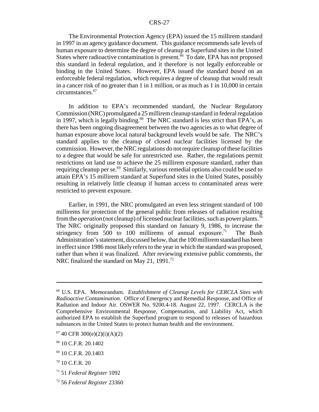The Environmental Protection Agency (EPA) issued the 15 millirem standard in 1997 in an agency guidance document. This guidance recommends safe levels of human exposure to determine the degree of cleanup at Superfund sites in the United States where radioactive contamination is present.<sup> $\overline{66}$ </sup> To date, EPA has not proposed this standard in federal regulation, and it therefore is not legally enforceable or binding in the United States. However, EPA issued the standard *based* on an enforceable federal regulation, which requires a degree of cleanup that would result in a cancer risk of no greater than 1 in 1 million, or as much as 1 in 10,000 in certain circumstances.67

In addition to EPA's recommended standard, the Nuclear Regulatory Commission (NRC) promulgated a 25 millirem cleanup standard in federal regulation in 1997, which is legally binding.<sup>68</sup> The NRC standard is less strict than EPA's, as there has been ongoing disagreement between the two agencies as to what degree of human exposure above local natural background levels would be safe. The NRC's standard applies to the cleanup of closed nuclear facilities licensed by the commission. However, the NRC regulations do not require cleanup of these facilities to a degree that would be safe for unrestricted use. Rather, the regulations permit restrictions on land use to achieve the 25 millirem exposure standard, rather than requiring cleanup per se.<sup>69</sup> Similarly, various remedial options also could be used to attain EPA's 15 millirem standard at Superfund sites in the United States, possibly resulting in relatively little cleanup if human access to contaminated areas were restricted to prevent exposure.

Earlier, in 1991, the NRC promulgated an even less stringent standard of 100 millirems for protection of the general public from releases of radiation resulting from the *operation* (not cleanup) of licensed nuclear facilities, such as power plants.70 The NRC originally proposed this standard on January 9, 1986, to increase the stringency from 500 to 100 millirems of annual exposure.<sup>71</sup> The Bush Administration's statement, discussed below, that the 100 millirem standard has been in effect since 1986 most likely refers to the year in which the standard was proposed, rather than when it was finalized. After reviewing extensive public comments, the NRC finalized the standard on May 21, 1991.<sup>72</sup>

<sup>66</sup> U.S. EPA. Memorandum. *Establishment of Cleanup Levels for CERCLA Sites with Radioactive Contamination*. Office of Emergency and Remedial Response, and Office of Radiation and Indoor Air. OSWER No. 9200.4-18. August 22, 1997. CERCLA is the Comprehensive Environmental Response, Compensation, and Liability Act, which authorized EPA to establish the Superfund program to respond to releases of hazardous substances in the United States to protect human health and the environment.

 $67$  40 CFR 300(e)(2)(i)(A)(2)

<sup>68 10</sup> C.F.R. 20.1402

 $69$  10 C.F.R. 20.1403

 $70$  10 C.F.R. 20

<sup>71 51</sup> *Federal Register* 1092

<sup>72 56</sup> *Federal Register* 23360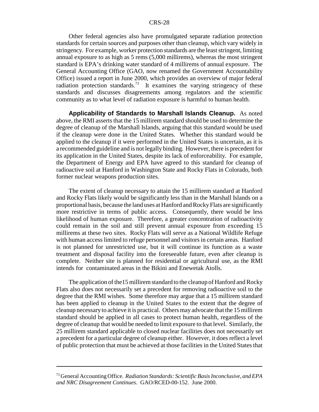Other federal agencies also have promulgated separate radiation protection standards for certain sources and purposes other than cleanup, which vary widely in stringency. For example, worker protection standards are the least stringent, limiting annual exposure to as high as 5 rems (5,000 millirems), whereas the most stringent standard is EPA's drinking water standard of 4 millirems of annual exposure. The General Accounting Office (GAO, now renamed the Government Accountability Office) issued a report in June 2000, which provides an overview of major federal radiation protection standards.<sup>73</sup> It examines the varying stringency of these standards and discusses disagreements among regulators and the scientific community as to what level of radiation exposure is harmful to human health.

**Applicability of Standards to Marshall Islands Cleanup.** As noted above, the RMI asserts that the 15 millirem standard should be used to determine the degree of cleanup of the Marshall Islands, arguing that this standard would be used if the cleanup were done in the United States. Whether this standard would be applied to the cleanup if it were performed in the United States is uncertain, as it is a recommended guideline and is not legally binding. However, there is precedent for its application in the United States, despite its lack of enforceability. For example, the Department of Energy and EPA have agreed to this standard for cleanup of radioactive soil at Hanford in Washington State and Rocky Flats in Colorado, both former nuclear weapons production sites.

The extent of cleanup necessary to attain the 15 millirem standard at Hanford and Rocky Flats likely would be significantly less than in the Marshall Islands on a proportional basis, because the land uses at Hanford and Rocky Flats are significantly more restrictive in terms of public access. Consequently, there would be less likelihood of human exposure. Therefore, a greater concentration of radioactivity could remain in the soil and still prevent annual exposure from exceeding 15 millirems at these two sites. Rocky Flats will serve as a National Wildlife Refuge with human access limited to refuge personnel and visitors in certain areas. Hanford is not planned for unrestricted use, but it will continue its function as a waste treatment and disposal facility into the foreseeable future, even after cleanup is complete. Neither site is planned for residential or agricultural use, as the RMI intends for contaminated areas in the Bikini and Enewetak Atolls.

The application of the15 millirem standard to the cleanup of Hanford and Rocky Flats also does not necessarily set a precedent for removing radioactive soil to the degree that the RMI wishes. Some therefore may argue that a 15 millirem standard has been applied to cleanup in the United States to the extent that the degree of cleanup necessary to achieve it is practical. Others may advocate that the 15 millirem standard should be applied in all cases to protect human health, regardless of the degree of cleanup that would be needed to limit exposure to that level. Similarly, the 25 millirem standard applicable to closed nuclear facilities does not necessarily set a precedent for a particular degree of cleanup either. However, it does reflect a level of public protection that must be achieved at those facilities in the United States that

<sup>73</sup> General Accounting Office. *Radiation Standards: Scientific Basis Inconclusive, and EPA and NRC Disagreement Continues*. GAO/RCED-00-152. June 2000.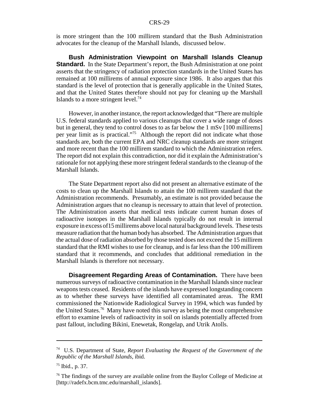is more stringent than the 100 millirem standard that the Bush Administration advocates for the cleanup of the Marshall Islands, discussed below.

**Bush Administration Viewpoint on Marshall Islands Cleanup Standard.** In the State Department's report, the Bush Administration at one point asserts that the stringency of radiation protection standards in the United States has remained at 100 millirems of annual exposure since 1986. It also argues that this standard is the level of protection that is generally applicable in the United States, and that the United States therefore should not pay for cleaning up the Marshall Islands to a more stringent level.<sup>74</sup>

However, in another instance, the report acknowledged that "There are multiple U.S. federal standards applied to various cleanups that cover a wide range of doses but in general, they tend to control doses to as far below the 1 mSv [100 millirems] per year limit as is practical."75 Although the report did not indicate what those standards are, both the current EPA and NRC cleanup standards are more stringent and more recent than the 100 millirem standard to which the Administration refers. The report did not explain this contradiction, nor did it explain the Administration's rationale for not applying these more stringent federal standards to the cleanup of the Marshall Islands.

The State Department report also did not present an alternative estimate of the costs to clean up the Marshall Islands to attain the 100 millirem standard that the Administration recommends. Presumably, an estimate is not provided because the Administration argues that no cleanup is necessary to attain that level of protection. The Administration asserts that medical tests indicate current human doses of radioactive isotopes in the Marshall Islands typically do not result in internal exposure in excess of15 millirems above local natural background levels. These tests measure radiation that the human body has absorbed. The Administration argues that the actual dose of radiation absorbed by those tested does not exceed the 15 millirem standard that the RMI wishes to use for cleanup, and is far less than the 100 millirem standard that it recommends, and concludes that additional remediation in the Marshall Islands is therefore not necessary.

**Disagreement Regarding Areas of Contamination.** There have been numerous surveys of radioactive contamination in the Marshall Islands since nuclear weapons tests ceased. Residents of the islands have expressed longstanding concern as to whether these surveys have identified all contaminated areas. The RMI commissioned the Nationwide Radiological Survey in 1994, which was funded by the United States.76 Many have noted this survey as being the most comprehensive effort to examine levels of radioactivity in soil on islands potentially affected from past fallout, including Bikini, Enewetak, Rongelap, and Utrik Atolls.

<sup>74</sup> U.S. Department of State, *Report Evaluating the Request of the Government of the Republic of the Marshall Islands*, ibid.

<sup>75</sup> Ibid., p. 37.

 $76$  The findings of the survey are available online from the Baylor College of Medicine at [http://radefx.bcm.tmc.edu/marshall\_islands].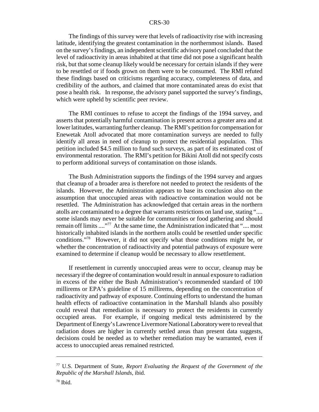The findings of this survey were that levels of radioactivity rise with increasing latitude, identifying the greatest contamination in the northernmost islands. Based on the survey's findings, an independent scientific advisory panel concluded that the level of radioactivity in areas inhabited at that time did not pose a significant health risk, but that some cleanup likely would be necessary for certain islands if they were to be resettled or if foods grown on them were to be consumed. The RMI refuted these findings based on criticisms regarding accuracy, completeness of data, and credibility of the authors, and claimed that more contaminated areas do exist that pose a health risk. In response, the advisory panel supported the survey's findings, which were upheld by scientific peer review.

The RMI continues to refuse to accept the findings of the 1994 survey, and asserts that potentially harmful contamination is present across a greater area and at lower latitudes, warranting further cleanup. The RMI's petition for compensation for Enewetak Atoll advocated that more contamination surveys are needed to fully identify all areas in need of cleanup to protect the residential population. This petition included \$4.5 million to fund such surveys, as part of its estimated cost of environmental restoration. The RMI's petition for Bikini Atoll did not specify costs to perform additional surveys of contamination on those islands.

The Bush Administration supports the findings of the 1994 survey and argues that cleanup of a broader area is therefore not needed to protect the residents of the islands. However, the Administration appears to base its conclusion also on the assumption that unoccupied areas with radioactive contamination would not be resettled. The Administration has acknowledged that certain areas in the northern atolls are contaminated to a degree that warrants restrictions on land use, stating ".... some islands may never be suitable for communities or food gathering and should remain off limits ...."<sup>77</sup> At the same time, the Administration indicated that ".... most historically inhabited islands in the northern atolls could be resettled under specific conditions."78 However, it did not specify what those conditions might be, or whether the concentration of radioactivity and potential pathways of exposure were examined to determine if cleanup would be necessary to allow resettlement.

If resettlement in currently unoccupied areas were to occur, cleanup may be necessary if the degree of contamination would result in annual exposure to radiation in excess of the either the Bush Administration's recommended standard of 100 millirems or EPA's guideline of 15 millirems, depending on the concentration of radioactivity and pathway of exposure. Continuing efforts to understand the human health effects of radioactive contamination in the Marshall Islands also possibly could reveal that remediation is necessary to protect the residents in currently occupied areas. For example, if ongoing medical tests administered by the Department of Energy's Lawrence Livermore National Laboratory were to reveal that radiation doses are higher in currently settled areas than present data suggests, decisions could be needed as to whether remediation may be warranted, even if access to unoccupied areas remained restricted.

<sup>77</sup> U.S. Department of State, *Report Evaluating the Request of the Government of the Republic of the Marshall Islands*, ibid.

 $78$  Ibid.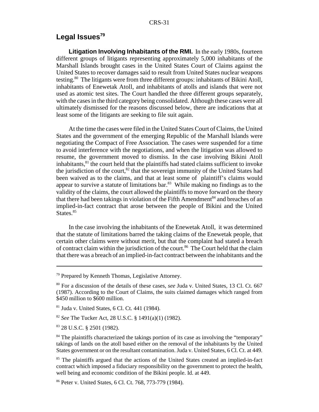# **Legal Issues79**

**Litigation Involving Inhabitants of the RMI.** In the early 1980s, fourteen different groups of litigants representing approximately 5,000 inhabitants of the Marshall Islands brought cases in the United States Court of Claims against the United States to recover damages said to result from United States nuclear weapons testing.80 The litigants were from three different groups: inhabitants of Bikini Atoll, inhabitants of Enewetak Atoll, and inhabitants of atolls and islands that were not used as atomic test sites. The Court handled the three different groups separately, with the cases in the third category being consolidated. Although these cases were all ultimately dismissed for the reasons discussed below, there are indications that at least some of the litigants are seeking to file suit again.

At the time the cases were filed in the United States Court of Claims, the United States and the government of the emerging Republic of the Marshall Islands were negotiating the Compact of Free Association. The cases were suspended for a time to avoid interference with the negotiations, and when the litigation was allowed to resume, the government moved to dismiss. In the case involving Bikini Atoll inhabitants, ${}^{81}$  the court held that the plaintiffs had stated claims sufficient to invoke the jurisdiction of the court, $82$  that the sovereign immunity of the United States had been waived as to the claims, and that at least some of plaintiff's claims would appear to survive a statute of limitations bar.<sup>83</sup> While making no findings as to the validity of the claims, the court allowed the plaintiffs to move forward on the theory that there had been takings in violation of the Fifth Amendment<sup>84</sup> and breaches of an implied-in-fact contract that arose between the people of Bikini and the United States.<sup>85</sup>

In the case involving the inhabitants of the Enewetak Atoll, it was determined that the statute of limitations barred the taking claims of the Enewetak people, that certain other claims were without merit, but that the complaint had stated a breach of contract claim within the jurisdiction of the court.<sup>86</sup> The Court held that the claim that there was a breach of an implied-in-fact contract between the inhabitants and the

<sup>79</sup> Prepared by Kenneth Thomas, Legislative Attorney.

<sup>80</sup> For a discussion of the details of these cases, *see* Juda v. United States, 13 Cl. Ct. 667 (1987). According to the Court of Claims, the suits claimed damages which ranged from \$450 million to \$600 million.

<sup>81</sup> Juda v. United States, 6 Cl. Ct. 441 (1984).

<sup>82</sup> *See* The Tucker Act, 28 U.S.C. § 1491(a)(1) (1982).

<sup>83 28</sup> U.S.C. § 2501 (1982).

<sup>&</sup>lt;sup>84</sup> The plaintiffs characterized the takings portion of its case as involving the "temporary" takings of lands on the atoll based either on the removal of the inhabitants by the United States government or on the resultant contamination. Juda v. United States, 6 Cl. Ct. at 449.

<sup>&</sup>lt;sup>85</sup> The plaintiffs argued that the actions of the United States created an implied-in-fact contract which imposed a fiduciary responsibility on the government to protect the health, well being and economic condition of the Bikini people. Id. at 449.

<sup>86</sup> Peter v. United States, 6 Cl. Ct. 768, 773-779 (1984).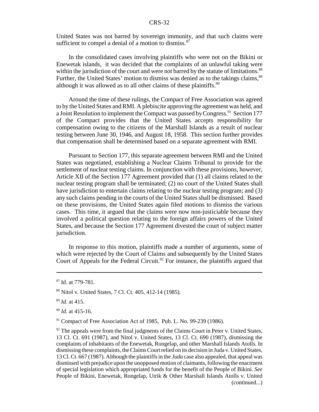United States was not barred by sovereign immunity, and that such claims were sufficient to compel a denial of a motion to dismiss. $87$ 

In the consolidated cases involving plaintiffs who were not on the Bikini or Enewetak islands, it was decided that the complaints of an unlawful taking were within the jurisdiction of the court and were not barred by the statute of limitations.<sup>88</sup> Further, the United States' motion to dismiss was denied as to the takings claims.<sup>89</sup> although it was allowed as to all other claims of these plaintiffs.<sup>90</sup>

Around the time of these rulings, the Compact of Free Association was agreed to by the United States and RMI. A plebiscite approving the agreement was held, and a Joint Resolution to implement the Compact was passed by Congress.<sup>91</sup> Section 177 of the Compact provides that the United States accepts responsibility for compensation owing to the citizens of the Marshall Islands as a result of nuclear testing between June 30, 1946, and August 18, 1958. This section further provides that compensation shall be determined based on a separate agreement with RMI.

Pursuant to Section 177, this separate agreement between RMI and the United States was negotiated, establishing a Nuclear Claims Tribunal to provide for the settlement of nuclear testing claims. In conjunction with these provisions, however, Article XII of the Section 177 Agreement provided that (1) all claims related to the nuclear testing program shall be terminated; (2) no court of the United States shall have jurisdiction to entertain claims relating to the nuclear testing program; and (3) any such claims pending in the courts of the United States shall be dismissed. Based on these provisions, the United States again filed motions to dismiss the various cases. This time, it argued that the claims were now non-justiciable because they involved a political question relating to the foreign affairs powers of the United States, and because the Section 177 Agreement divested the court of subject matter jurisdiction.

In response to this motion, plaintiffs made a number of arguments, some of which were rejected by the Court of Claims and subsequently by the United States Court of Appeals for the Federal Circuit.<sup>92</sup> For instance, the plaintiffs argued that

<sup>87</sup> Id. at 779-781.

<sup>88</sup> Nitol v. United States, 7 Cl. Ct. 405, 412-14 (1985).

<sup>89</sup> *Id*. at 415.

<sup>90</sup> *Id.* at 415-16.

<sup>&</sup>lt;sup>91</sup> Compact of Free Association Act of 1985, Pub. L. No. 99-239 (1986).

 $92$ <sup>92</sup> The appeals were from the final judgments of the Claims Court in Peter v. United States, 13 Cl. Ct. 691 (1987), and Nitol v. United States, 13 Cl. Ct. 690 (1987), dismissing the complaints of inhabitants of the Enewetak, Rongelap, and other Marshall Islands Atolls. In dismissing these complaints, the Claims Court relied on its decision in Juda v. United States, 13 Cl. Ct. 667 (1987). Although the plaintiffs in the *Juda* case also appealed, that appeal was dismissed with prejudice upon the unopposed motion of claimants, following the enactment of special legislation which appropriated funds for the benefit of the People of Bikini. *See* People of Bikini, Enewetak, Rongelap, Utrik & Other Marshall Islands Atolls v. United (continued...)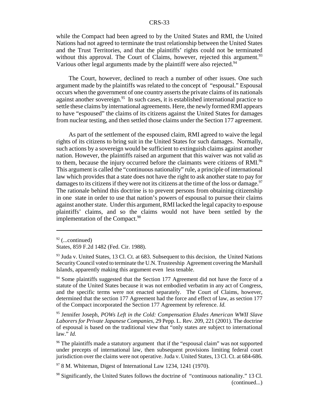while the Compact had been agreed to by the United States and RMI, the United Nations had not agreed to terminate the trust relationship between the United States and the Trust Territories, and that the plaintiffs' rights could not be terminated without this approval. The Court of Claims, however, rejected this argument.<sup>93</sup> Various other legal arguments made by the plaintiff were also rejected.<sup>94</sup>

The Court, however, declined to reach a number of other issues. One such argument made by the plaintiffs was related to the concept of "espousal." Espousal occurs when the government of one country asserts the private claims of its nationals against another sovereign.<sup>95</sup> In such cases, it is established international practice to settle these claims by international agreements. Here, the newly formed RMI appears to have "espoused" the claims of its citizens against the United States for damages from nuclear testing, and then settled those claims under the Section 177 agreement.

As part of the settlement of the espoused claim, RMI agreed to waive the legal rights of its citizens to bring suit in the United States for such damages. Normally, such actions by a sovereign would be sufficient to extinguish claims against another nation. However, the plaintiffs raised an argument that this waiver was not valid as to them, because the injury occurred before the claimants were citizens of RMI.<sup>96</sup> This argument is called the "continuous nationality" rule, a principle of international law which provides that a state does not have the right to ask another state to pay for damages to its citizens if they were not its citizens at the time of the loss or damage.<sup>97</sup> The rationale behind this doctrine is to prevent persons from obtaining citizenship in one state in order to use that nation's powers of espousal to pursue their claims against another state. Under this argument, RMI lacked the legal capacity to espouse plaintiffs' claims, and so the claims would not have been settled by the implementation of the Compact.<sup>98</sup>

<sup>94</sup> Some plaintiffs suggested that the Section 177 Agreement did not have the force of a statute of the United States because it was not embodied verbatim in any act of Congress, and the specific terms were not enacted separately. The Court of Claims, however, determined that the section 177 Agreement had the force and effect of law, as section 177 of the Compact incorporated the Section 177 Agreement by reference. *Id.*

95 Jennifer Joseph, *POWs Left in the Cold: Compensation Eludes American WWII Slave Laborers for Private Japanese Companies*, 29 Pepp. L. Rev. 209, 221 (2001). The doctrine of espousal is based on the traditional view that "only states are subject to international law." *Id.*

<sup>96</sup> The plaintiffs made a statutory argument that if the "espousal claim" was not supported under precepts of international law, then subsequent provisions limiting federal court jurisdiction over the claims were not operative. Juda v. United States, 13 Cl. Ct. at 684-686.

 $978$  M. Whiteman, Digest of International Law 1234, 1241 (1970).

 $92$  (...continued)

States, 859 F.2d 1482 (Fed. Cir. 1988).

 $93$  Juda v. United States, 13 Cl. Ct. at 683. Subsequent to this decision, the United Nations Security Council voted to terminate the U.N. Trusteeship Agreement covering the Marshall Islands, apparently making this argument even less tenable.

<sup>98</sup> Significantly, the United States follows the doctrine of "continuous nationality." 13 Cl. (continued...)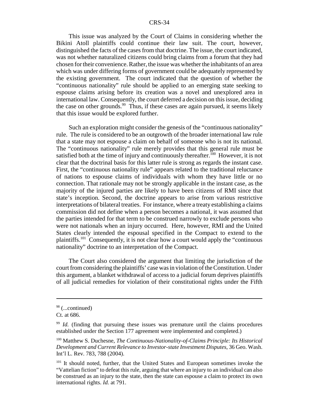This issue was analyzed by the Court of Claims in considering whether the Bikini Atoll plaintiffs could continue their law suit. The court, however, distinguished the facts of the cases from that doctrine. The issue, the court indicated, was not whether naturalized citizens could bring claims from a forum that they had chosen for their convenience. Rather, the issue was whether the inhabitants of an area which was under differing forms of government could be adequately represented by the existing government. The court indicated that the question of whether the "continuous nationality" rule should be applied to an emerging state seeking to espouse claims arising before its creation was a novel and unexplored area in international law. Consequently, the court deferred a decision on this issue, deciding the case on other grounds.<sup>99</sup> Thus, if these cases are again pursued, it seems likely that this issue would be explored further.

Such an exploration might consider the genesis of the "continuous nationality" rule. The rule is considered to be an outgrowth of the broader international law rule that a state may not espouse a claim on behalf of someone who is not its national. The "continuous nationality" rule merely provides that this general rule must be satisfied both at the time of injury and continuously thereafter.<sup>100</sup> However, it is not clear that the doctrinal basis for this latter rule is strong as regards the instant case. First, the "continuous nationality rule" appears related to the traditional reluctance of nations to espouse claims of individuals with whom they have little or no connection. That rationale may not be strongly applicable in the instant case, as the majority of the injured parties are likely to have been citizens of RMI since that state's inception. Second, the doctrine appears to arise from various restrictive interpretations of bilateral treaties. For instance, where a treaty establishing a claims commission did not define when a person becomes a national, it was assumed that the parties intended for that term to be construed narrowly to exclude persons who were not nationals when an injury occurred. Here, however, RMI and the United States clearly intended the espousal specified in the Compact to extend to the plaintiffs.<sup>101</sup> Consequently, it is not clear how a court would apply the "continuous" nationality" doctrine to an interpretation of the Compact.

The Court also considered the argument that limiting the jurisdiction of the court from considering the plaintiffs' case was in violation of the Constitution. Under this argument, a blanket withdrawal of access to a judicial forum deprives plaintiffs of all judicial remedies for violation of their constitutional rights under the Fifth

<sup>98 (...</sup>continued)

Ct. at 686.

<sup>&</sup>lt;sup>99</sup> *Id.* (finding that pursuing these issues was premature until the claims procedures established under the Section 177 agreement were implemented and completed.)

<sup>100</sup> Matthew S. Duchesne, *The Continuous-Nationality-of-Claims Principle: Its Historical Development and Current Relevance to Investor-state Investment Disputes*, 36 Geo. Wash. Int'l L. Rev. 783, 788 (2004).

<sup>&</sup>lt;sup>101</sup> It should noted, further, that the United States and European sometimes invoke the "Vattelian fiction" to defeat this rule, arguing that where an injury to an individual can also be construed as an injury to the state, then the state can espouse a claim to protect its own international rights. *Id.* at 791.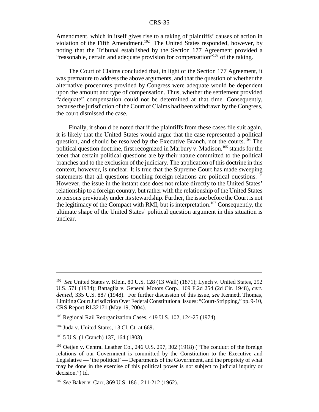Amendment, which in itself gives rise to a taking of plaintiffs' causes of action in violation of the Fifth Amendment.102 The United States responded, however, by noting that the Tribunal established by the Section 177 Agreement provided a "reasonable, certain and adequate provision for compensation"<sup>103</sup> of the taking.

The Court of Claims concluded that, in light of the Section 177 Agreement, it was premature to address the above arguments, and that the question of whether the alternative procedures provided by Congress were adequate would be dependent upon the amount and type of compensation. Thus, whether the settlement provided "adequate" compensation could not be determined at that time. Consequently, because the jurisdiction of the Court of Claims had been withdrawn by the Congress, the court dismissed the case.

Finally, it should be noted that if the plaintiffs from these cases file suit again, it is likely that the United States would argue that the case represented a political question, and should be resolved by the Executive Branch, not the courts.<sup>104</sup> The political question doctrine, first recognized in Marbury v. Madison,  $105$  stands for the tenet that certain political questions are by their nature committed to the political branches and to the exclusion of the judiciary. The application of this doctrine in this context, however, is unclear. It is true that the Supreme Court has made sweeping statements that all questions touching foreign relations are political questions.<sup>106</sup> However, the issue in the instant case does not relate directly to the United States' relationship to a foreign country, but rather with the relationship of the United States to persons previously under its stewardship. Further, the issue before the Court is not the legitimacy of the Compact with RMI, but is interpretation.107 Consequently, the ultimate shape of the United States' political question argument in this situation is unclear.

<sup>102</sup> *See* United States v. Klein, 80 U.S. 128 (13 Wall) (1871); Lynch v. United States, 292 U.S. 571 (1934); Battaglia v. General Motors Corp., 169 F.2d 254 (2d Cir. 1948), *cert. denied*, 335 U.S. 887 (1948). For further discussion of this issue, *see* Kenneth Thomas, Limiting Court Jurisdiction Over Federal Constitutional Issues: "Court-Stripping," pp. 9-10, CRS Report RL32171 (May 19, 2004).

<sup>&</sup>lt;sup>103</sup> Regional Rail Reorganization Cases, 419 U.S. 102, 124-25 (1974).

<sup>&</sup>lt;sup>104</sup> Juda v. United States, 13 Cl. Ct. at 669.

<sup>105 5</sup> U.S. (1 Cranch) 137, 164 (1803).

 $106$  Oetien v. Central Leather Co., 246 U.S. 297, 302 (1918) ("The conduct of the foreign relations of our Government is committed by the Constitution to the Executive and Legislative — 'the political' — Departments of the Government, and the propriety of what may be done in the exercise of this political power is not subject to judicial inquiry or decision.") Id.

<sup>107</sup> *See* Baker v. Carr, 369 U.S. 186 , 211-212 (1962).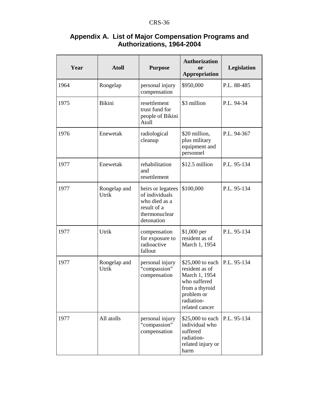| Year | <b>Atoll</b>          | <b>Purpose</b>                                                                                     | <b>Authorization</b><br>or<br><b>Appropriation</b>                                                                                  | Legislation |  |
|------|-----------------------|----------------------------------------------------------------------------------------------------|-------------------------------------------------------------------------------------------------------------------------------------|-------------|--|
| 1964 | Rongelap              | personal injury<br>compensation                                                                    | \$950,000                                                                                                                           | P.L. 88-485 |  |
| 1975 | <b>Bikini</b>         | resettlement<br>trust fund for<br>people of Bikini<br>Atoll                                        | \$3 million                                                                                                                         | P.L. 94-34  |  |
| 1976 | Enewetak              | radiological<br>cleanup                                                                            | \$20 million,<br>plus military<br>equipment and<br>personnel                                                                        | P.L. 94-367 |  |
| 1977 | Enewetak              | rehabilitation<br>and<br>resettlement                                                              | \$12.5 million                                                                                                                      | P.L. 95-134 |  |
| 1977 | Rongelap and<br>Utrik | heirs or legatees<br>of individuals<br>who died as a<br>result of a<br>thermonuclear<br>detonation | \$100,000                                                                                                                           | P.L. 95-134 |  |
| 1977 | Utrik                 | compensation<br>for exposure to<br>radioactive<br>fallout                                          | $$1,000$ per<br>resident as of<br>March 1, 1954                                                                                     | P.L. 95-134 |  |
| 1977 | Rongelap and<br>Utrik | personal injury<br>"compassion"<br>compensation                                                    | \$25,000 to each<br>resident as of<br>March 1, 1954<br>who suffered<br>from a thyroid<br>problem or<br>radiation-<br>related cancer | P.L. 95-134 |  |
| 1977 | All atolls            | personal injury<br>"compassion"<br>compensation                                                    | \$25,000 to each<br>individual who<br>suffered<br>radiation-<br>related injury or<br>harm                                           | P.L. 95-134 |  |

#### **Appendix A. List of Major Compensation Programs and Authorizations, 1964-2004**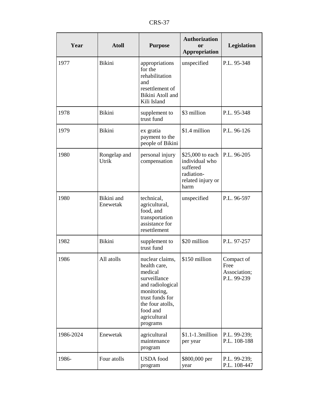CRS-37

| Year      | <b>Atoll</b>           | <b>Authorization</b><br><b>Purpose</b><br>or<br><b>Appropriation</b>                                                                                                         |                                                                                           | Legislation                                       |  |
|-----------|------------------------|------------------------------------------------------------------------------------------------------------------------------------------------------------------------------|-------------------------------------------------------------------------------------------|---------------------------------------------------|--|
| 1977      | Bikini                 | appropriations<br>for the<br>rehabilitation<br>and<br>resettlement of<br>Bikini Atoll and<br>Kili Island                                                                     | unspecified                                                                               | P.L. 95-348                                       |  |
| 1978      | <b>Bikini</b>          | supplement to<br>trust fund                                                                                                                                                  | \$3 million                                                                               | P.L. 95-348                                       |  |
| 1979      | Bikini                 | ex gratia<br>payment to the<br>people of Bikini                                                                                                                              | \$1.4 million                                                                             | P.L. 96-126                                       |  |
| 1980      | Rongelap and<br>Utrik  | personal injury<br>compensation                                                                                                                                              | \$25,000 to each<br>individual who<br>suffered<br>radiation-<br>related injury or<br>harm | P.L. 96-205                                       |  |
| 1980      | Bikini and<br>Enewetak | technical,<br>agricultural,<br>food, and<br>transportation<br>assistance for<br>resettlement                                                                                 | unspecified                                                                               | P.L. 96-597                                       |  |
| 1982      | <b>Bikini</b>          | supplement to<br>trust fund                                                                                                                                                  | \$20 million                                                                              | P.L. 97-257                                       |  |
| 1986      | All atolls             | nuclear claims,<br>health care,<br>medical<br>surveillance<br>and radiological<br>monitoring,<br>trust funds for<br>the four atolls,<br>food and<br>agricultural<br>programs | \$150 million                                                                             | Compact of<br>Free<br>Association;<br>P.L. 99-239 |  |
| 1986-2024 | Enewetak               | agricultural<br>maintenance<br>program                                                                                                                                       | $$1.1-1.3$ million<br>per year                                                            | P.L. 99-239;<br>P.L. 108-188                      |  |
| 1986-     | Four atolls            | <b>USDA</b> food<br>program                                                                                                                                                  | \$800,000 per<br>year                                                                     | P.L. 99-239;<br>P.L. 108-447                      |  |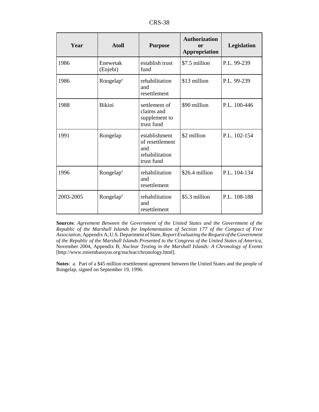| Year      | <b>Atoll</b>          | <b>Authorization</b><br><b>Purpose</b><br>or<br>Appropriation           |                              | Legislation  |  |
|-----------|-----------------------|-------------------------------------------------------------------------|------------------------------|--------------|--|
| 1986      | Enewetak<br>(Enjebi)  | establish trust<br>fund                                                 | \$7.5 million                |              |  |
| 1986      | Rongelap <sup>a</sup> | \$13 million<br>rehabilitation<br>and<br>resettlement                   |                              | P.L. 99-239  |  |
| 1988      | <b>Bikini</b>         | settlement of<br>claims and<br>supplement to<br>trust fund              | \$90 million<br>P.L. 100-446 |              |  |
| 1991      | Rongelap              | establishment<br>of resettlement<br>and<br>rehabilitation<br>trust fund | \$2 million                  |              |  |
| 1996      | Rongelap <sup>a</sup> | rehabilitation<br>and<br>resettlement                                   | \$26.4 million               |              |  |
| 2003-2005 | Rongelap <sup>a</sup> | rehabilitation<br>and<br>resettlement                                   | \$5.3 million                | P.L. 108-188 |  |

**Sources**: *Agreement Between the Government of the United States and the Government of the Republic of the Marshall Islands for Implementation of Section 177 of the Compact of Free Association*, Appendix A; U.S. Department of State, *Report Evaluating the Request of the Government of the Republic of the Marshall Islands Presented to the Congress of the United States of America*, November 2004, Appendix B; *Nuclear Testing in the Marshall Islands: A Chronology of Events* [http://www.rmiembassyus.org/nuclear/chronology.html].

**Notes**: a. Part of a \$45 million resettlement agreement between the United States and the people of Rongelap, signed on September 19, 1996.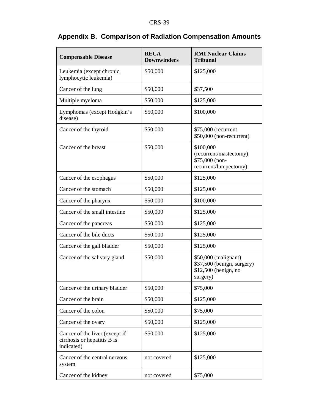| <b>Compensable Disease</b>                                                  | <b>RECA</b><br><b>Downwinders</b> | <b>RMI Nuclear Claims</b><br><b>Tribunal</b>                                           |
|-----------------------------------------------------------------------------|-----------------------------------|----------------------------------------------------------------------------------------|
| Leukemia (except chronic<br>lymphocytic leukemia)                           | \$50,000                          | \$125,000                                                                              |
| Cancer of the lung                                                          | \$50,000                          | \$37,500                                                                               |
| Multiple myeloma                                                            | \$50,000                          | \$125,000                                                                              |
| Lymphomas (except Hodgkin's<br>disease)                                     | \$50,000                          | \$100,000                                                                              |
| Cancer of the thyroid                                                       | \$50,000                          | \$75,000 (recurrent<br>\$50,000 (non-recurrent)                                        |
| Cancer of the breast                                                        | \$50,000                          | \$100,000<br>(recurrent/mastectomy)<br>\$75,000 (non-<br>recurrent/lumpectomy)         |
| Cancer of the esophagus                                                     | \$50,000                          | \$125,000                                                                              |
| Cancer of the stomach                                                       | \$50,000                          | \$125,000                                                                              |
| Cancer of the pharynx                                                       | \$50,000                          | \$100,000                                                                              |
| Cancer of the small intestine                                               | \$50,000                          | \$125,000                                                                              |
| Cancer of the pancreas                                                      | \$50,000                          | \$125,000                                                                              |
| Cancer of the bile ducts                                                    | \$50,000                          | \$125,000                                                                              |
| Cancer of the gall bladder                                                  | \$50,000                          | \$125,000                                                                              |
| Cancer of the salivary gland                                                | \$50,000                          | \$50,000 (malignant)<br>\$37,500 (benign, surgery)<br>\$12,500 (benign, no<br>surgery) |
| Cancer of the urinary bladder                                               | \$50,000                          | \$75,000                                                                               |
| Cancer of the brain                                                         | \$50,000                          | \$125,000                                                                              |
| Cancer of the colon                                                         | \$50,000                          | \$75,000                                                                               |
| Cancer of the ovary                                                         | \$50,000                          | \$125,000                                                                              |
| Cancer of the liver (except if<br>cirrhosis or hepatitis B is<br>indicated) | \$50,000                          | \$125,000                                                                              |
| Cancer of the central nervous<br>system                                     | not covered                       | \$125,000                                                                              |
| Cancer of the kidney                                                        | not covered                       | \$75,000                                                                               |

# **Appendix B. Comparison of Radiation Compensation Amounts**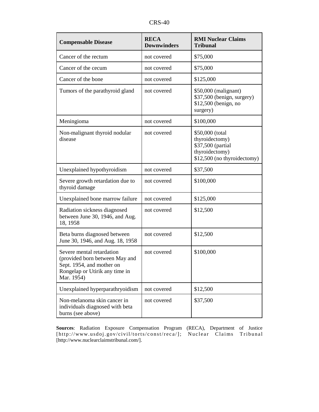| <b>Compensable Disease</b>                                                                                                               | <b>RECA</b><br><b>Downwinders</b> | <b>RMI Nuclear Claims</b><br><b>Tribunal</b>                                                            |
|------------------------------------------------------------------------------------------------------------------------------------------|-----------------------------------|---------------------------------------------------------------------------------------------------------|
| Cancer of the rectum                                                                                                                     | not covered                       | \$75,000                                                                                                |
| Cancer of the cecum                                                                                                                      | not covered                       | \$75,000                                                                                                |
| Cancer of the bone                                                                                                                       | not covered                       | \$125,000                                                                                               |
| Tumors of the parathyroid gland                                                                                                          | not covered                       | \$50,000 (malignant)<br>\$37,500 (benign, surgery)<br>\$12,500 (benign, no<br>surgery)                  |
| Meningioma                                                                                                                               | not covered                       | \$100,000                                                                                               |
| Non-malignant thyroid nodular<br>disease                                                                                                 | not covered                       | \$50,000 (total<br>thyroidectomy)<br>\$37,500 (partial<br>thyroidectomy)<br>\$12,500 (no thyroidectomy) |
| Unexplained hypothyroidism                                                                                                               | not covered                       | \$37,500                                                                                                |
| Severe growth retardation due to<br>thyroid damage                                                                                       | not covered                       | \$100,000                                                                                               |
| Unexplained bone marrow failure                                                                                                          | not covered                       | \$125,000                                                                                               |
| Radiation sickness diagnosed<br>between June 30, 1946, and Aug.<br>18, 1958                                                              | not covered                       | \$12,500                                                                                                |
| Beta burns diagnosed between<br>June 30, 1946, and Aug. 18, 1958                                                                         | not covered                       | \$12,500                                                                                                |
| Severe mental retardation<br>(provided born between May and<br>Sept. 1954, and mother on<br>Rongelap or Utirik any time in<br>Mar. 1954) | not covered                       | \$100,000                                                                                               |
| Unexplained hyperparathryoidism                                                                                                          | not covered                       | \$12,500                                                                                                |
| Non-melanoma skin cancer in<br>individuals diagnosed with beta<br>burns (see above)                                                      | not covered                       | \$37,500                                                                                                |

**Sources**: Radiation Exposure Compensation Program (RECA), Department of Justice [http://www.usdoj.gov/civil/torts/const/reca/]; Nuclear Claims Tribunal [http://www.nuclearclaimstribunal.com/].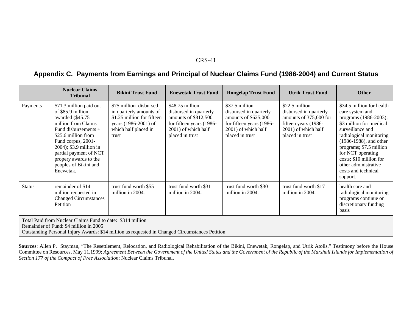## **Appendix C. Payments from Earnings and Principal of Nuclear Claims Fund (1986-2004) and Current Status**

|                                                                                                                                                                                                         | <b>Nuclear Claims</b><br><b>Tribunal</b>                                                                                                                                                                                                                                            | <b>Bikini Trust Fund</b>                                                                                                                 | <b>Enewetak Trust Fund</b>                                                                                                              | <b>Rongelap Trust Fund</b>                                                                                                              | <b>Utrik Trust Fund</b>                                                                                                              | <b>Other</b>                                                                                                                                                                                                                                                                                                    |
|---------------------------------------------------------------------------------------------------------------------------------------------------------------------------------------------------------|-------------------------------------------------------------------------------------------------------------------------------------------------------------------------------------------------------------------------------------------------------------------------------------|------------------------------------------------------------------------------------------------------------------------------------------|-----------------------------------------------------------------------------------------------------------------------------------------|-----------------------------------------------------------------------------------------------------------------------------------------|--------------------------------------------------------------------------------------------------------------------------------------|-----------------------------------------------------------------------------------------------------------------------------------------------------------------------------------------------------------------------------------------------------------------------------------------------------------------|
| Payments                                                                                                                                                                                                | \$71.3 million paid out<br>of \$85.9 million<br>awarded (\$45.75)<br>million from Claims<br>Fund disbursements $+$<br>\$25.6 million from<br>Fund corpus, 2001-<br>2004); \$3.9 million in<br>partial payment of NCT<br>propery awards to the<br>peoples of Bikini and<br>Enewetak. | \$75 million disbursed<br>in quarterly amounts of<br>\$1.25 million for fifteen<br>years (1986-2001) of<br>which half placed in<br>trust | \$48.75 million<br>disbursed in quarterly<br>amounts of \$812,500<br>for fifteen years (1986-<br>2001) of which half<br>placed in trust | \$37.5 million<br>disbursed in quarterly<br>amounts of $$625,000$<br>for fifteen years (1986-<br>2001) of which half<br>placed in trust | \$22.5 million<br>disbursed in quarterly<br>amounts of 375,000 for<br>fifteen years (1986-<br>2001) of which half<br>placed in trust | \$34.5 million for health<br>care system and<br>programs (1986-2003);<br>\$3 million for medical<br>surveillance and<br>radiological monitoring<br>(1986-1988), and other<br>programs; \$7.5 million<br>for NCT operating<br>costs; \$10 million for<br>other administrative<br>costs and technical<br>support. |
| <b>Status</b>                                                                                                                                                                                           | remainder of \$14<br>million requested in<br><b>Changed Circumstances</b><br>Petition                                                                                                                                                                                               | trust fund worth \$55<br>million in 2004.                                                                                                | trust fund worth \$31<br>million in 2004.                                                                                               | trust fund worth \$30<br>million in 2004.                                                                                               | trust fund worth \$17<br>million in 2004.                                                                                            | health care and<br>radiological monitoring<br>programs continue on<br>discretionary funding<br>basis                                                                                                                                                                                                            |
| Total Paid from Nuclear Claims Fund to date: \$314 million<br>Remainder of Fund: \$4 million in 2005<br>Outstanding Personal Injury Awards: \$14 million as requested in Changed Circumstances Petition |                                                                                                                                                                                                                                                                                     |                                                                                                                                          |                                                                                                                                         |                                                                                                                                         |                                                                                                                                      |                                                                                                                                                                                                                                                                                                                 |

**Sources**: Allen P. Stayman, "The Resettlement, Relocation, and Radiological Rehabilitation of the Bikini, Enewetak, Rongelap, and Utrik Atolls," Testimony before the House Committee on Resources, May 11,1999; *Agreement Between the Government of the United States and the Government of the Republic of the Marshall Islands for Implementation of Section 177 of the Compact of Free Association*; Nuclear Claims Tribunal.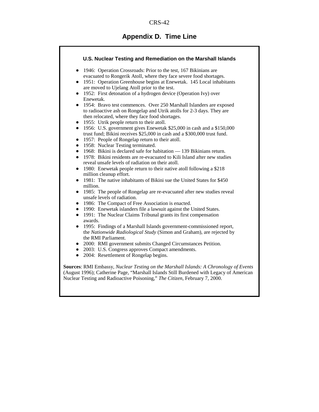#### **Appendix D. Time Line**